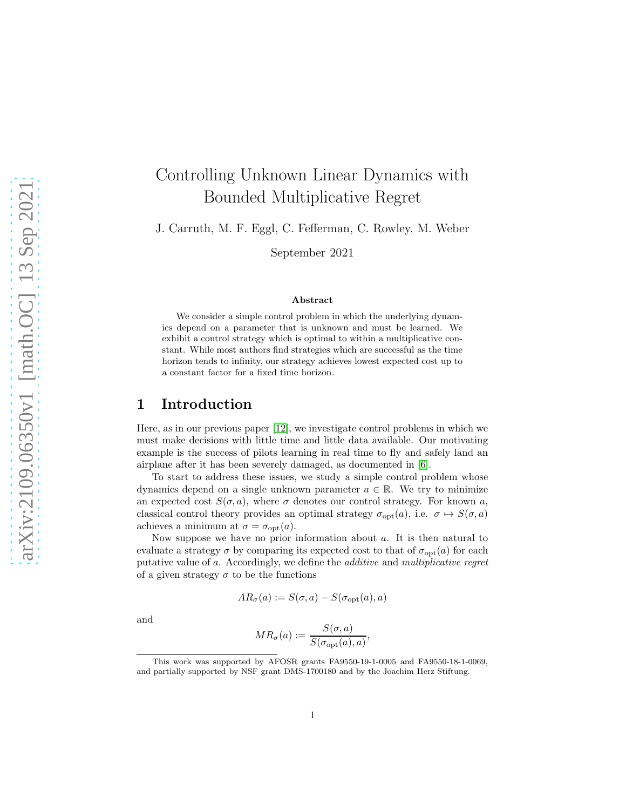# Controlling Unknown Linear Dynamics with Bounded Multiplicative Regret

J. Carruth, M. F. Eggl, C. Fefferman, C. Rowley, M. Weber

September 2021

#### Abstract

We consider a simple control problem in which the underlying dynamics depend on a parameter that is unknown and must be learned. We exhibit a control strategy which is optimal to within a multiplicative constant. While most authors find strategies which are successful as the time horizon tends to infinity, our strategy achieves lowest expected cost up to a constant factor for a fixed time horizon.

## 1 Introduction

Here, as in our previous paper [\[12\]](#page-34-0), we investigate control problems in which we must make decisions with little time and little data available. Our motivating example is the success of pilots learning in real time to fly and safely land an airplane after it has been severely damaged, as documented in [\[6\]](#page-33-0).

To start to address these issues, we study a simple control problem whose dynamics depend on a single unknown parameter  $a \in \mathbb{R}$ . We try to minimize an expected cost  $S(\sigma, a)$ , where  $\sigma$  denotes our control strategy. For known a, classical control theory provides an optimal strategy  $\sigma_{opt}(a)$ , i.e.  $\sigma \mapsto S(\sigma, a)$ achieves a minimum at  $\sigma = \sigma_{\text{opt}}(a)$ .

Now suppose we have no prior information about  $a$ . It is then natural to evaluate a strategy  $\sigma$  by comparing its expected cost to that of  $\sigma_{\text{opt}}(a)$  for each putative value of a. Accordingly, we define the *additive* and *multiplicative regret* of a given strategy  $\sigma$  to be the functions

$$
AR_{\sigma}(a) := S(\sigma, a) - S(\sigma_{\text{opt}}(a), a)
$$

and

$$
MR_{\sigma}(a) := \frac{S(\sigma, a)}{S(\sigma_{\text{opt}}(a), a)},
$$

This work was supported by AFOSR grants FA9550-19-1-0005 and FA9550-18-1-0069, and partially supported by NSF grant DMS-1700180 and by the Joachim Herz Stiftung.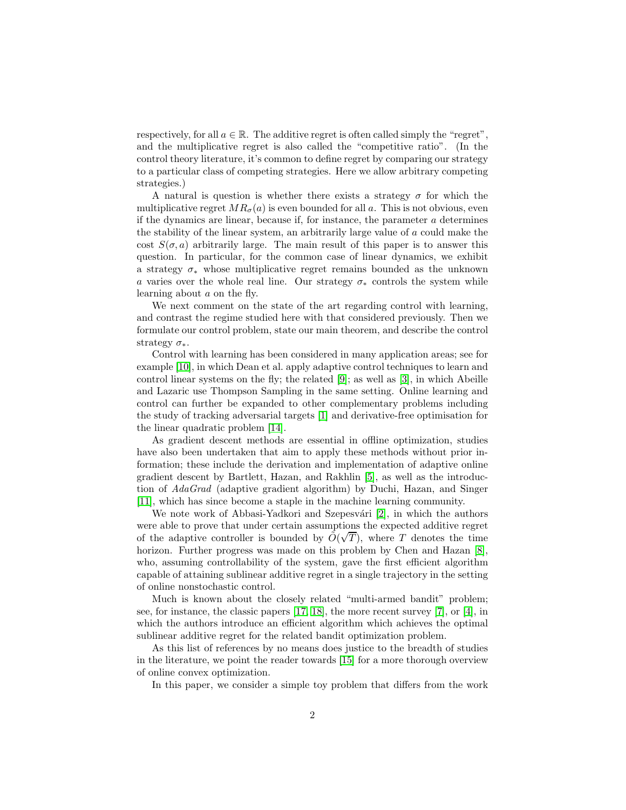respectively, for all  $a \in \mathbb{R}$ . The additive regret is often called simply the "regret", and the multiplicative regret is also called the "competitive ratio". (In the control theory literature, it's common to define regret by comparing our strategy to a particular class of competing strategies. Here we allow arbitrary competing strategies.)

A natural is question is whether there exists a strategy  $\sigma$  for which the multiplicative regret  $MR_{\sigma}(a)$  is even bounded for all a. This is not obvious, even if the dynamics are linear, because if, for instance, the parameter  $a$  determines the stability of the linear system, an arbitrarily large value of a could make the cost  $S(\sigma, a)$  arbitrarily large. The main result of this paper is to answer this question. In particular, for the common case of linear dynamics, we exhibit a strategy  $\sigma_*$  whose multiplicative regret remains bounded as the unknown a varies over the whole real line. Our strategy  $\sigma_*$  controls the system while learning about a on the fly.

We next comment on the state of the art regarding control with learning, and contrast the regime studied here with that considered previously. Then we formulate our control problem, state our main theorem, and describe the control strategy  $\sigma_*$ .

Control with learning has been considered in many application areas; see for example [\[10\]](#page-34-1), in which Dean et al. apply adaptive control techniques to learn and control linear systems on the fly; the related [\[9\]](#page-33-1); as well as [\[3\]](#page-33-2), in which Abeille and Lazaric use Thompson Sampling in the same setting. Online learning and control can further be expanded to other complementary problems including the study of tracking adversarial targets [\[1\]](#page-33-3) and derivative-free optimisation for the linear quadratic problem [\[14\]](#page-34-2).

As gradient descent methods are essential in offline optimization, studies have also been undertaken that aim to apply these methods without prior information; these include the derivation and implementation of adaptive online gradient descent by Bartlett, Hazan, and Rakhlin [\[5\]](#page-33-4), as well as the introduction of *AdaGrad* (adaptive gradient algorithm) by Duchi, Hazan, and Singer [\[11\]](#page-34-3), which has since become a staple in the machine learning community.

We note work of Abbasi-Yadkori and Szepesvári  $[2]$ , in which the authors were able to prove that under certain assumptions the expected additive regret of the adaptive controller is bounded by  $\tilde{O}(\sqrt{T})$ , where T denotes the time horizon. Further progress was made on this problem by Chen and Hazan [\[8\]](#page-33-6), who, assuming controllability of the system, gave the first efficient algorithm capable of attaining sublinear additive regret in a single trajectory in the setting of online nonstochastic control.

Much is known about the closely related "multi-armed bandit" problem; see, for instance, the classic papers [\[17,](#page-34-4) [18\]](#page-34-5), the more recent survey [\[7\]](#page-33-7), or [\[4\]](#page-33-8), in which the authors introduce an efficient algorithm which achieves the optimal sublinear additive regret for the related bandit optimization problem.

As this list of references by no means does justice to the breadth of studies in the literature, we point the reader towards [\[15\]](#page-34-6) for a more thorough overview of online convex optimization.

In this paper, we consider a simple toy problem that differs from the work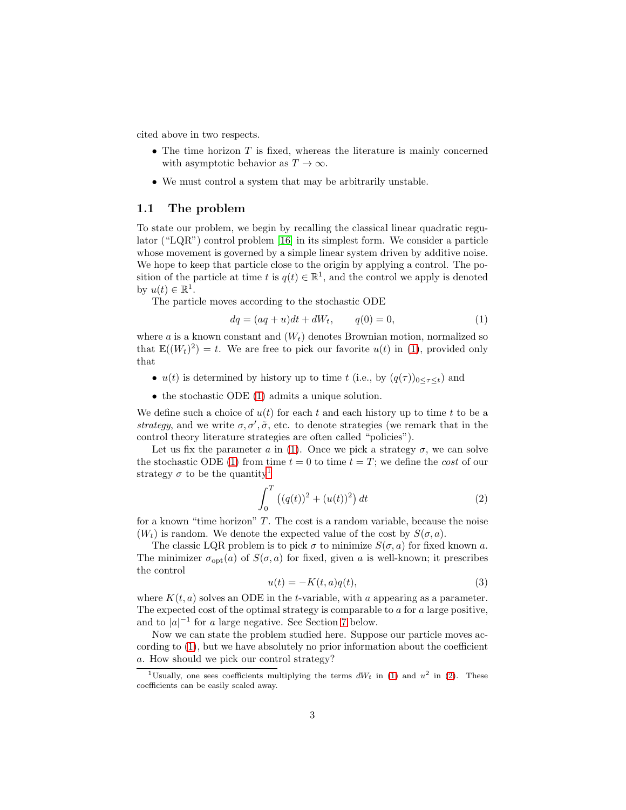cited above in two respects.

- The time horizon  $T$  is fixed, whereas the literature is mainly concerned with asymptotic behavior as  $T \to \infty$ .
- We must control a system that may be arbitrarily unstable.

#### 1.1 The problem

To state our problem, we begin by recalling the classical linear quadratic regulator ("LQR") control problem [\[16\]](#page-34-7) in its simplest form. We consider a particle whose movement is governed by a simple linear system driven by additive noise. We hope to keep that particle close to the origin by applying a control. The position of the particle at time t is  $q(t) \in \mathbb{R}^1$ , and the control we apply is denoted by  $u(t) \in \mathbb{R}^1$ .

The particle moves according to the stochastic ODE

<span id="page-2-0"></span>
$$
dq = (aq + u)dt + dW_t, \t q(0) = 0,
$$
\t(1)

where  $a$  is a known constant and  $(W_t)$  denotes Brownian motion, normalized so that  $\mathbb{E}((W_t)^2) = t$ . We are free to pick our favorite  $u(t)$  in [\(1\)](#page-2-0), provided only that

- $u(t)$  is determined by history up to time t (i.e., by  $(q(\tau))_{0 \leq \tau \leq t}$ ) and
- the stochastic ODE [\(1\)](#page-2-0) admits a unique solution.

We define such a choice of  $u(t)$  for each t and each history up to time t to be a *strategy*, and we write  $\sigma$ ,  $\sigma'$ ,  $\tilde{\sigma}$ , etc. to denote strategies (we remark that in the control theory literature strategies are often called "policies").

Let us fix the parameter a in [\(1\)](#page-2-0). Once we pick a strategy  $\sigma$ , we can solve the stochastic ODE [\(1\)](#page-2-0) from time  $t = 0$  to time  $t = T$ ; we define the *cost* of our strategy  $\sigma$  to be the quantity<sup>[1](#page-2-1)</sup>

<span id="page-2-2"></span>
$$
\int_0^T \left( (q(t))^2 + (u(t))^2 \right) dt \tag{2}
$$

for a known "time horizon"  $T$ . The cost is a random variable, because the noise  $(W_t)$  is random. We denote the expected value of the cost by  $S(\sigma, a)$ .

The classic LQR problem is to pick  $\sigma$  to minimize  $S(\sigma, a)$  for fixed known a. The minimizer  $\sigma_{\text{opt}}(a)$  of  $S(\sigma, a)$  for fixed, given a is well-known; it prescribes the control

<span id="page-2-3"></span>
$$
u(t) = -K(t, a)q(t),\tag{3}
$$

where  $K(t, a)$  solves an ODE in the t-variable, with a appearing as a parameter. The expected cost of the optimal strategy is comparable to  $a$  for  $a$  large positive, and to  $|a|^{-1}$  for a large negative. See Section [7](#page-30-0) below.

Now we can state the problem studied here. Suppose our particle moves according to [\(1\)](#page-2-0), but we have absolutely no prior information about the coefficient a. How should we pick our control strategy?

<span id="page-2-1"></span><sup>&</sup>lt;sup>1</sup>Usually, one sees coefficients multiplying the terms  $dW_t$  in [\(1\)](#page-2-0) and  $u^2$  in [\(2\)](#page-2-2). These coefficients can be easily scaled away.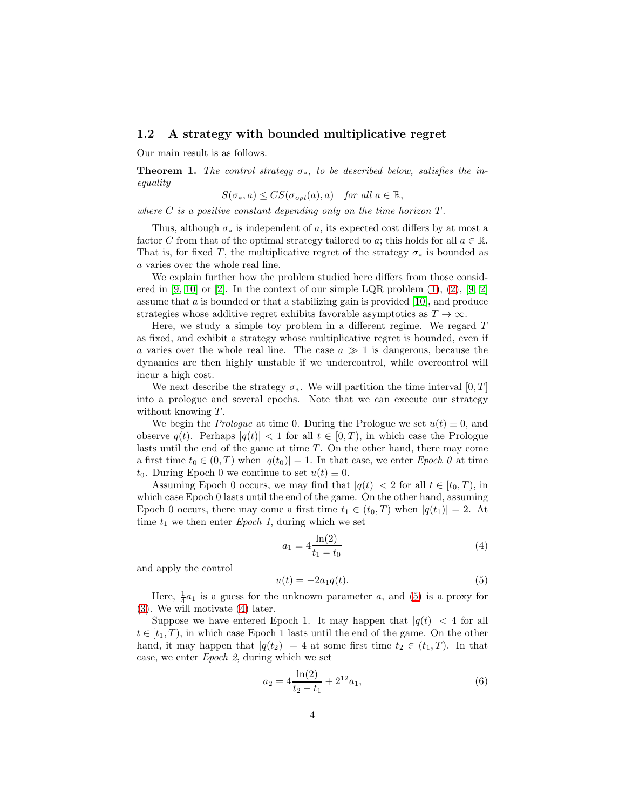#### 1.2 A strategy with bounded multiplicative regret

Our main result is as follows.

<span id="page-3-2"></span>**Theorem 1.** *The control strategy*  $\sigma_*$ , *to be described below, satisfies the inequality*

$$
S(\sigma_*, a) \leq CS(\sigma_{opt}(a), a) \quad \text{for all } a \in \mathbb{R},
$$

*where*  $C$  *is a positive constant depending only on the time horizon*  $T$ *.* 

Thus, although  $\sigma_*$  is independent of a, its expected cost differs by at most a factor C from that of the optimal strategy tailored to a; this holds for all  $a \in \mathbb{R}$ . That is, for fixed T, the multiplicative regret of the strategy  $\sigma_*$  is bounded as a varies over the whole real line.

We explain further how the problem studied here differs from those consid-ered in [\[9,](#page-33-1) [10\]](#page-34-1) or [\[2\]](#page-33-5). In the context of our simple LQR problem  $(1), (2), [9, 2]$  $(1), (2), [9, 2]$  $(1), (2), [9, 2]$  $(1), (2), [9, 2]$ assume that  $a$  is bounded or that a stabilizing gain is provided [\[10\]](#page-34-1), and produce strategies whose additive regret exhibits favorable asymptotics as  $T \to \infty$ .

Here, we study a simple toy problem in a different regime. We regard T as fixed, and exhibit a strategy whose multiplicative regret is bounded, even if a varies over the whole real line. The case  $a \gg 1$  is dangerous, because the dynamics are then highly unstable if we undercontrol, while overcontrol will incur a high cost.

We next describe the strategy  $\sigma_*$ . We will partition the time interval [0, T] into a prologue and several epochs. Note that we can execute our strategy without knowing  $T$ .

We begin the *Prologue* at time 0. During the Prologue we set  $u(t) \equiv 0$ , and observe  $q(t)$ . Perhaps  $|q(t)| < 1$  for all  $t \in [0, T)$ , in which case the Prologue lasts until the end of the game at time  $T$ . On the other hand, there may come a first time  $t_0 \in (0, T)$  when  $|q(t_0)| = 1$ . In that case, we enter *Epoch*  $\theta$  at time  $t_0$ . During Epoch 0 we continue to set  $u(t) \equiv 0$ .

Assuming Epoch 0 occurs, we may find that  $|q(t)| < 2$  for all  $t \in [t_0, T)$ , in which case Epoch 0 lasts until the end of the game. On the other hand, assuming Epoch 0 occurs, there may come a first time  $t_1 \in (t_0, T)$  when  $|q(t_1)| = 2$ . At time  $t_1$  we then enter *Epoch 1*, during which we set

<span id="page-3-1"></span>
$$
a_1 = 4 \frac{\ln(2)}{t_1 - t_0} \tag{4}
$$

and apply the control

<span id="page-3-0"></span>
$$
u(t) = -2a_1q(t). \tag{5}
$$

Here,  $\frac{1}{4}a_1$  is a guess for the unknown parameter a, and [\(5\)](#page-3-0) is a proxy for [\(3\)](#page-2-3). We will motivate [\(4\)](#page-3-1) later.

Suppose we have entered Epoch 1. It may happen that  $|q(t)| < 4$  for all  $t \in [t_1, T)$ , in which case Epoch 1 lasts until the end of the game. On the other hand, it may happen that  $|q(t_2)| = 4$  at some first time  $t_2 \in (t_1, T)$ . In that case, we enter *Epoch 2*, during which we set

<span id="page-3-3"></span>
$$
a_2 = 4\frac{\ln(2)}{t_2 - t_1} + 2^{12}a_1,\tag{6}
$$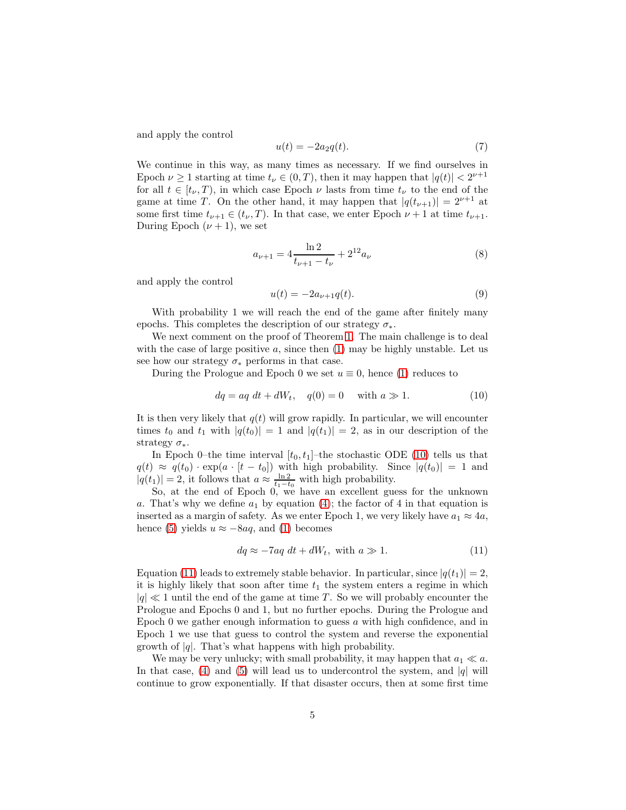and apply the control

<span id="page-4-2"></span>
$$
u(t) = -2a_2q(t). \tag{7}
$$

We continue in this way, as many times as necessary. If we find ourselves in Epoch  $\nu \ge 1$  starting at time  $t_{\nu} \in (0, T)$ , then it may happen that  $|q(t)| < 2^{\nu+1}$ for all  $t \in [t_{\nu}, T)$ , in which case Epoch  $\nu$  lasts from time  $t_{\nu}$  to the end of the game at time T. On the other hand, it may happen that  $|q(t_{\nu+1})| = 2^{\nu+1}$  at some first time  $t_{\nu+1} \in (t_{\nu}, T)$ . In that case, we enter Epoch  $\nu + 1$  at time  $t_{\nu+1}$ . During Epoch  $(\nu + 1)$ , we set

<span id="page-4-3"></span>
$$
a_{\nu+1} = 4\frac{\ln 2}{t_{\nu+1} - t_{\nu}} + 2^{12}a_{\nu}
$$
 (8)

and apply the control

<span id="page-4-4"></span>
$$
u(t) = -2a_{\nu+1}q(t).
$$
 (9)

With probability 1 we will reach the end of the game after finitely many epochs. This completes the description of our strategy  $\sigma_*$ .

We next comment on the proof of Theorem [1.](#page-3-2) The main challenge is to deal with the case of large positive  $a$ , since then  $(1)$  may be highly unstable. Let us see how our strategy  $\sigma_*$  performs in that case.

During the Prologue and Epoch 0 we set  $u \equiv 0$ , hence [\(1\)](#page-2-0) reduces to

<span id="page-4-0"></span>
$$
dq = aq \, dt + dW_t, \quad q(0) = 0 \quad \text{with } a \gg 1. \tag{10}
$$

It is then very likely that  $q(t)$  will grow rapidly. In particular, we will encounter times  $t_0$  and  $t_1$  with  $|q(t_0)| = 1$  and  $|q(t_1)| = 2$ , as in our description of the strategy  $\sigma_*$ .

In Epoch 0–the time interval  $[t_0, t_1]$ –the stochastic ODE [\(10\)](#page-4-0) tells us that  $q(t) \approx q(t_0) \cdot \exp(a \cdot [t - t_0])$  with high probability. Since  $|q(t_0)| = 1$  and  $|q(t_1)| = 2$ , it follows that  $a \approx \frac{\ln 2}{t_1 - t_0}$  with high probability.

So, at the end of Epoch 0, we have an excellent guess for the unknown a. That's why we define  $a_1$  by equation [\(4\)](#page-3-1); the factor of 4 in that equation is inserted as a margin of safety. As we enter Epoch 1, we very likely have  $a_1 \approx 4a$ , hence [\(5\)](#page-3-0) yields  $u \approx -8aq$ , and [\(1\)](#page-2-0) becomes

<span id="page-4-1"></span>
$$
dq \approx -7aq \ dt + dW_t, \text{ with } a \gg 1. \tag{11}
$$

Equation [\(11\)](#page-4-1) leads to extremely stable behavior. In particular, since  $|q(t_1)| = 2$ , it is highly likely that soon after time  $t_1$  the system enters a regime in which  $|q| \ll 1$  until the end of the game at time T. So we will probably encounter the Prologue and Epochs 0 and 1, but no further epochs. During the Prologue and Epoch 0 we gather enough information to guess  $a$  with high confidence, and in Epoch 1 we use that guess to control the system and reverse the exponential growth of  $|q|$ . That's what happens with high probability.

We may be very unlucky; with small probability, it may happen that  $a_1 \ll a$ . In that case, [\(4\)](#page-3-1) and [\(5\)](#page-3-0) will lead us to undercontrol the system, and  $|q|$  will continue to grow exponentially. If that disaster occurs, then at some first time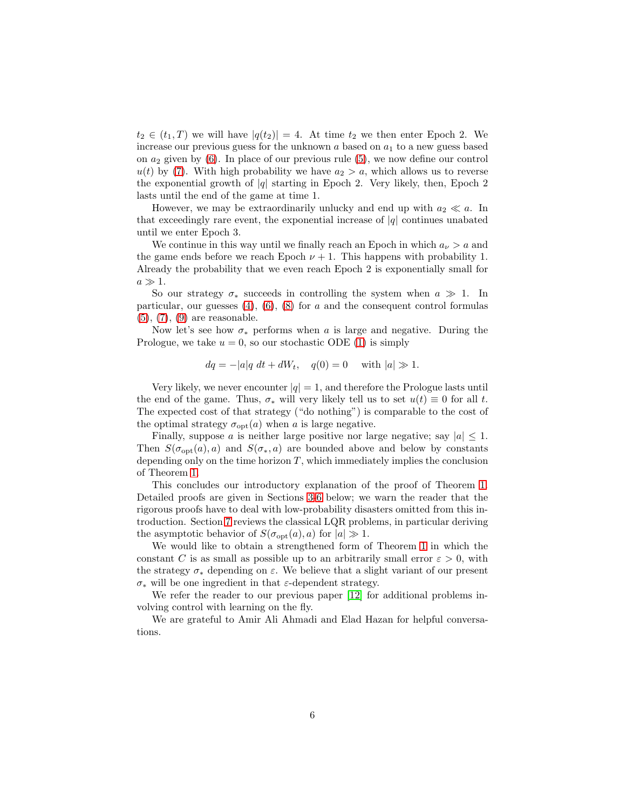$t_2 \in (t_1, T)$  we will have  $|q(t_2)| = 4$ . At time  $t_2$  we then enter Epoch 2. We increase our previous guess for the unknown  $a$  based on  $a_1$  to a new guess based on  $a_2$  given by [\(6\)](#page-3-3). In place of our previous rule [\(5\)](#page-3-0), we now define our control  $u(t)$  by [\(7\)](#page-4-2). With high probability we have  $a_2 > a$ , which allows us to reverse the exponential growth of  $|q|$  starting in Epoch 2. Very likely, then, Epoch 2 lasts until the end of the game at time 1.

However, we may be extraordinarily unlucky and end up with  $a_2 \ll a$ . In that exceedingly rare event, the exponential increase of  $|q|$  continues unabated until we enter Epoch 3.

We continue in this way until we finally reach an Epoch in which  $a_{\nu} > a$  and the game ends before we reach Epoch  $\nu + 1$ . This happens with probability 1. Already the probability that we even reach Epoch 2 is exponentially small for  $a \gg 1$ .

So our strategy  $\sigma_*$  succeeds in controlling the system when  $a \gg 1$ . In particular, our guesses  $(4)$ ,  $(6)$ ,  $(8)$  for a and the consequent control formulas [\(5\)](#page-3-0), [\(7\)](#page-4-2), [\(9\)](#page-4-4) are reasonable.

Now let's see how  $\sigma_*$  performs when a is large and negative. During the Prologue, we take  $u = 0$ , so our stochastic ODE [\(1\)](#page-2-0) is simply

$$
dq = -|a|q \ dt + dW_t, \quad q(0) = 0 \quad \text{with } |a| \gg 1.
$$

Very likely, we never encounter  $|q| = 1$ , and therefore the Prologue lasts until the end of the game. Thus,  $\sigma_*$  will very likely tell us to set  $u(t) \equiv 0$  for all t. The expected cost of that strategy ("do nothing") is comparable to the cost of the optimal strategy  $\sigma_{\text{opt}}(a)$  when a is large negative.

Finally, suppose a is neither large positive nor large negative; say  $|a| \leq 1$ . Then  $S(\sigma_{\text{opt}}(a), a)$  and  $S(\sigma_*, a)$  are bounded above and below by constants depending only on the time horizon  $T$ , which immediately implies the conclusion of Theorem [1.](#page-3-2)

This concludes our introductory explanation of the proof of Theorem [1.](#page-3-2) Detailed proofs are given in Sections [3](#page-6-0)[-6](#page-27-0) below; we warn the reader that the rigorous proofs have to deal with low-probability disasters omitted from this introduction. Section [7](#page-30-0) reviews the classical LQR problems, in particular deriving the asymptotic behavior of  $S(\sigma_{\text{opt}}(a), a)$  for  $|a| \gg 1$ .

We would like to obtain a strengthened form of Theorem [1](#page-3-2) in which the constant C is as small as possible up to an arbitrarily small error  $\varepsilon > 0$ , with the strategy  $\sigma_*$  depending on  $\varepsilon$ . We believe that a slight variant of our present σ<sup>∗</sup> will be one ingredient in that ε-dependent strategy.

We refer the reader to our previous paper [\[12\]](#page-34-0) for additional problems involving control with learning on the fly.

We are grateful to Amir Ali Ahmadi and Elad Hazan for helpful conversations.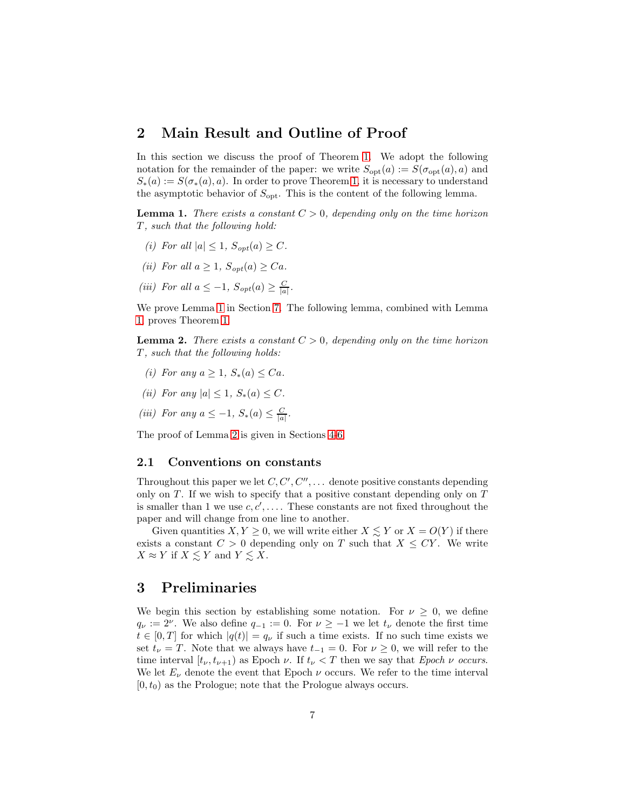## <span id="page-6-6"></span>2 Main Result and Outline of Proof

In this section we discuss the proof of Theorem [1.](#page-3-2) We adopt the following notation for the remainder of the paper: we write  $S_{opt}(a) := S(\sigma_{opt}(a), a)$  and  $S_*(a) := S(\sigma_*(a), a)$ . In order to prove Theorem [1,](#page-3-2) it is necessary to understand the asymptotic behavior of  $S_{\text{opt}}$ . This is the content of the following lemma.

<span id="page-6-1"></span>**Lemma 1.** *There exists a constant*  $C > 0$ *, depending only on the time horizon* T *, such that the following hold:*

- <span id="page-6-8"></span><span id="page-6-7"></span>*(i)* For all  $|a| \leq 1$ ,  $S_{opt}(a) \geq C$ .
- <span id="page-6-9"></span>*(ii)* For all  $a \geq 1$ ,  $S_{opt}(a) \geq Ca$ .
- (*iii*) For all  $a \leq -1$ ,  $S_{opt}(a) \geq \frac{C}{|a|}$ .

We prove Lemma [1](#page-6-1) in Section [7.](#page-30-0) The following lemma, combined with Lemma [1,](#page-6-1) proves Theorem [1.](#page-3-2)

<span id="page-6-2"></span>**Lemma 2.** *There exists a constant*  $C > 0$ , *depending only on the time horizon* T *, such that the following holds:*

- <span id="page-6-4"></span><span id="page-6-3"></span>*(i)* For any  $a > 1$ ,  $S_*(a) < Ca$ .
- <span id="page-6-5"></span>*(ii)* For any  $|a| \leq 1$ ,  $S_*(a) \leq C$ .
- (*iii*) For any  $a \leq -1$ ,  $S_*(a) \leq \frac{C}{|a|}$ .

The proof of Lemma [2](#page-6-2) is given in Sections [4](#page-17-0)[-6.](#page-27-0)

#### 2.1 Conventions on constants

Throughout this paper we let  $C, C', C'', \ldots$  denote positive constants depending only on  $T$ . If we wish to specify that a positive constant depending only on  $T$ is smaller than 1 we use  $c, c', \ldots$ . These constants are not fixed throughout the paper and will change from one line to another.

Given quantities  $X, Y \geq 0$ , we will write either  $X \leq Y$  or  $X = O(Y)$  if there exists a constant  $C > 0$  depending only on T such that  $X \le C Y$ . We write  $X \approx Y$  if  $X \leq Y$  and  $Y \leq X$ .

## <span id="page-6-0"></span>3 Preliminaries

We begin this section by establishing some notation. For  $\nu \geq 0$ , we define  $q_{\nu} := 2^{\nu}$ . We also define  $q_{-1} := 0$ . For  $\nu \ge -1$  we let  $t_{\nu}$  denote the first time  $t \in [0, T]$  for which  $|q(t)| = q_{\nu}$  if such a time exists. If no such time exists we set  $t_{\nu} = T$ . Note that we always have  $t_{-1} = 0$ . For  $\nu \geq 0$ , we will refer to the time interval  $[t_{\nu}, t_{\nu+1})$  as Epoch  $\nu$ . If  $t_{\nu} < T$  then we say that *Epoch*  $\nu$  *occurs*. We let  $E_{\nu}$  denote the event that Epoch  $\nu$  occurs. We refer to the time interval  $[0, t_0)$  as the Prologue; note that the Prologue always occurs.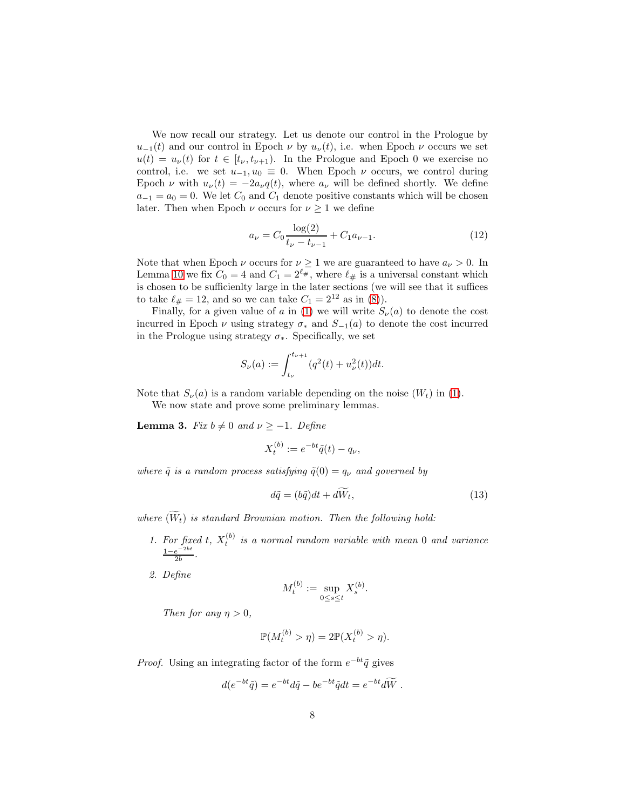We now recall our strategy. Let us denote our control in the Prologue by  $u_{-1}(t)$  and our control in Epoch  $\nu$  by  $u_{\nu}(t)$ , i.e. when Epoch  $\nu$  occurs we set  $u(t) = u_{\nu}(t)$  for  $t \in [t_{\nu}, t_{\nu+1})$ . In the Prologue and Epoch 0 we exercise no control, i.e. we set  $u_{-1}, u_0 \equiv 0$ . When Epoch  $\nu$  occurs, we control during Epoch  $\nu$  with  $u_{\nu}(t) = -2a_{\nu}q(t)$ , where  $a_{\nu}$  will be defined shortly. We define  $a_{-1} = a_0 = 0$ . We let  $C_0$  and  $C_1$  denote positive constants which will be chosen later. Then when Epoch  $\nu$  occurs for  $\nu \geq 1$  we define

<span id="page-7-2"></span>
$$
a_{\nu} = C_0 \frac{\log(2)}{t_{\nu} - t_{\nu - 1}} + C_1 a_{\nu - 1}.
$$
\n(12)

Note that when Epoch  $\nu$  occurs for  $\nu \geq 1$  we are guaranteed to have  $a_{\nu} > 0$ . In Lemma [10](#page-17-1) we fix  $C_0 = 4$  and  $C_1 = 2^{\ell_{\#}}$ , where  $\ell_{\#}$  is a universal constant which is chosen to be sufficienlty large in the later sections (we will see that it suffices to take  $\ell_{\#} = 12$ , and so we can take  $C_1 = 2^{12}$  as in [\(8\)](#page-4-3)).

Finally, for a given value of a in [\(1\)](#page-2-0) we will write  $S_{\nu}(a)$  to denote the cost incurred in Epoch  $\nu$  using strategy  $\sigma_*$  and  $S_{-1}(a)$  to denote the cost incurred in the Prologue using strategy  $\sigma_*$ . Specifically, we set

$$
S_{\nu}(a) := \int_{t_{\nu}}^{t_{\nu+1}} (q^2(t) + u_{\nu}^2(t)) dt.
$$

Note that  $S_{\nu}(a)$  is a random variable depending on the noise  $(W_t)$  in [\(1\)](#page-2-0).

We now state and prove some preliminary lemmas.

<span id="page-7-0"></span>**Lemma 3.** *Fix*  $b \neq 0$  *and*  $\nu \geq -1$ *. Define* 

$$
X_t^{(b)} := e^{-bt}\tilde{q}(t) - q_\nu,
$$

*where*  $\tilde{q}$  *is a random process satisfying*  $\tilde{q}(0) = q_{\nu}$  *and governed by* 

<span id="page-7-1"></span>
$$
d\tilde{q} = (b\tilde{q})dt + d\tilde{W}_t, \qquad (13)
$$

where  $(\widetilde{W}_t)$  is standard Brownian motion. Then the following hold:

- 1. For fixed t,  $X_t^{(b)}$  is a normal random variable with mean 0 and variance  $\frac{1-e^{-2bt}}{2}$  $rac{e^{-2at}}{2b}$ .
- *2. Define*

$$
M_t^{(b)} := \sup_{0 \le s \le t} X_s^{(b)}.
$$

*Then for any*  $\eta > 0$ *,* 

$$
\mathbb{P}(M_t^{(b)} > \eta) = 2\mathbb{P}(X_t^{(b)} > \eta).
$$

*Proof.* Using an integrating factor of the form  $e^{-bt}\tilde{q}$  gives

$$
d(e^{-bt}\tilde{q}) = e^{-bt}d\tilde{q} - be^{-bt}\tilde{q}dt = e^{-bt}d\tilde{W} .
$$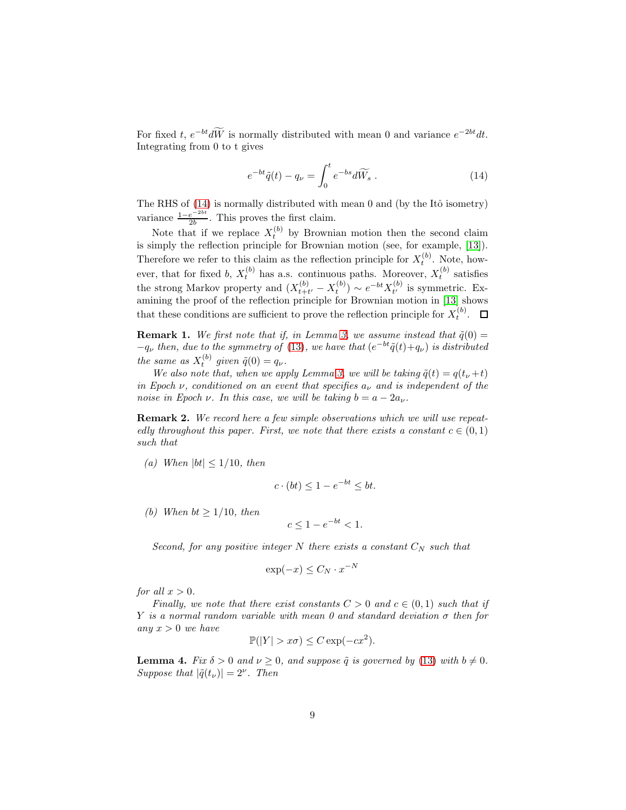For fixed t,  $e^{-bt}d\overline{W}$  is normally distributed with mean 0 and variance  $e^{-2bt}dt$ . Integrating from 0 to t gives

<span id="page-8-0"></span>
$$
e^{-bt}\tilde{q}(t) - q_{\nu} = \int_0^t e^{-bs}d\widetilde{W}_s . \qquad (14)
$$

The RHS of  $(14)$  is normally distributed with mean 0 and (by the Itô isometry) variance  $\frac{1-e^{-2bt}}{2b}$  $\frac{e^{-2\pi i}}{2b}$ . This proves the first claim.

Note that if we replace  $X_t^{(b)}$  by Brownian motion then the second claim is simply the reflection principle for Brownian motion (see, for example, [\[13\]](#page-34-8)). Therefore we refer to this claim as the reflection principle for  $X_t^{(b)}$ . Note, howt ever, that for fixed b,  $X_t^{(b)}$  has a.s. continuous paths. Moreover,  $X_t^{(b)}$  satisfies the strong Markov property and  $(X_{t+i}^{(b)})$  $(t_{t+t'} - X_t^{(b)}) \sim e^{-bt} X_{t'}^{(b)}$  $t'$  is symmetric. Examining the proof of the reflection principle for Brownian motion in [\[13\]](#page-34-8) shows that these conditions are sufficient to prove the reflection principle for  $X_t^{(b)}$ .

<span id="page-8-1"></span>**Remark 1.** We first note that if, in Lemma [3,](#page-7-0) we assume instead that  $\tilde{q}(0)$  =  $-q_{\nu}$  *then, due to the symmetry of* [\(13\)](#page-7-1)*, we have that*  $(e^{-bt}\tilde{q}(t)+q_{\nu})$  *is distributed the same as*  $X_t^{(b)}$  *given*  $\tilde{q}(0) = q_{\nu}$ *.* 

*We also note that, when we apply Lemma [3,](#page-7-0) we will be taking*  $\tilde{q}(t) = q(t_{\nu} + t)$ *in Epoch*  $\nu$ , conditioned on an event that specifies  $a_{\nu}$  and is independent of the *noise in Epoch*  $\nu$ *. In this case, we will be taking*  $b = a - 2a_{\nu}$ *.* 

<span id="page-8-2"></span>Remark 2. *We record here a few simple observations which we will use repeatedly throughout this paper. First, we note that there exists a constant*  $c \in (0,1)$ *such that*

*(a)* When  $|bt| \leq 1/10$ *, then* 

$$
c \cdot (bt) \le 1 - e^{-bt} \le bt.
$$

*(b)* When  $bt \geq 1/10$ , then

$$
c \le 1 - e^{-bt} < 1.
$$

*Second, for any positive integer* N *there exists a constant*  $C_N$  *such that* 

$$
\exp(-x) \le C_N \cdot x^{-N}
$$

*for all*  $x > 0$ *.* 

*Finally, we note that there exist constants*  $C > 0$  *and*  $c \in (0, 1)$  *such that if* Y *is a normal random variable with mean 0 and standard deviation* σ *then for any* x > 0 *we have*

$$
\mathbb{P}(|Y| > x\sigma) \le C \exp(-cx^2).
$$

<span id="page-8-3"></span>**Lemma 4.** *Fix*  $\delta > 0$  *and*  $\nu \geq 0$ *, and suppose*  $\tilde{q}$  *is governed by* [\(13\)](#page-7-1) *with*  $b \neq 0$ *. Suppose that*  $|\tilde{q}(t_{\nu})| = 2^{\nu}$ *. Then*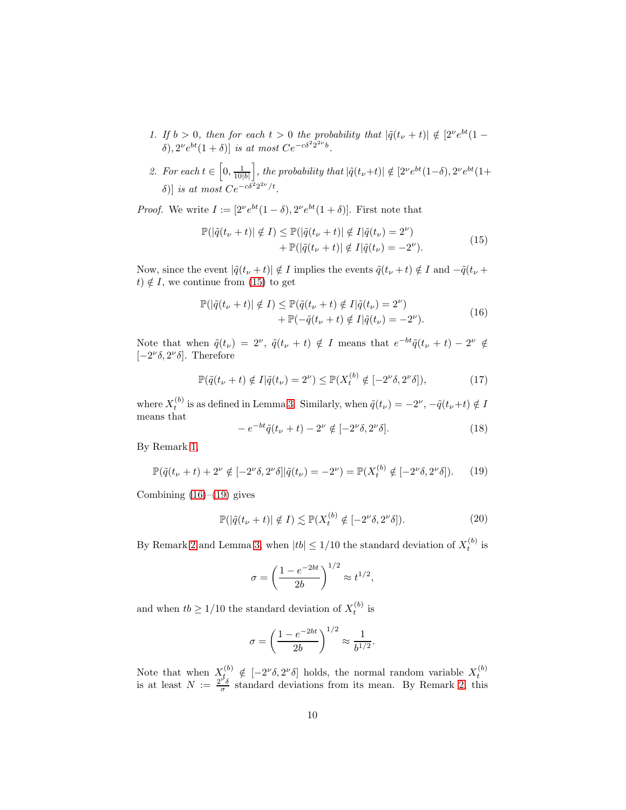- *1.* If  $b > 0$ , then for each  $t > 0$  the probability that  $|\tilde{q}(t_{\nu} + t)| \notin [2^{\nu}e^{bt}(1-t)]$ δ),  $2^{\nu}e^{bt}(1 + δ)$ ] *is at most*  $Ce^{-cδ^22^{2\nu}b}$ .
- 2. For each  $t \in \left[0, \frac{1}{10|b|}\right]$ *j*, *the probability that*  $|\tilde{q}(t_{ν}+t)|$  ∉ [2<sup>*v*</sup> e<sup>bt</sup>(1−δ), 2<sup>*v*</sup> e<sup>bt</sup>(1+ δ)] *is at most*  $Ce^{-c\delta^2 2^{2\nu}/t}$ .

*Proof.* We write  $I := [2^{\nu}e^{bt}(1-\delta), 2^{\nu}e^{bt}(1+\delta)]$ . First note that

$$
\mathbb{P}(|\tilde{q}(t_{\nu}+t)| \notin I) \le \mathbb{P}(|\tilde{q}(t_{\nu}+t)| \notin I|\tilde{q}(t_{\nu})=2^{\nu}) \n+ \mathbb{P}(|\tilde{q}(t_{\nu}+t)| \notin I|\tilde{q}(t_{\nu})=-2^{\nu}).
$$
\n(15)

<span id="page-9-0"></span>Now, since the event  $|\tilde{q}(t_{\nu}+t)| \notin I$  implies the events  $\tilde{q}(t_{\nu}+t) \notin I$  and  $-\tilde{q}(t_{\nu}+t)$ t)  $\notin I$ , we continue from [\(15\)](#page-9-0) to get

$$
\mathbb{P}(|\tilde{q}(t_{\nu}+t)| \notin I) \leq \mathbb{P}(\tilde{q}(t_{\nu}+t) \notin I | \tilde{q}(t_{\nu}) = 2^{\nu}) \n+ \mathbb{P}(-\tilde{q}(t_{\nu}+t) \notin I | \tilde{q}(t_{\nu}) = -2^{\nu}).
$$
\n(16)

<span id="page-9-1"></span>Note that when  $\tilde{q}(t_{\nu}) = 2^{\nu}$ ,  $\tilde{q}(t_{\nu} + t) \notin I$  means that  $e^{-bt}\tilde{q}(t_{\nu} + t) - 2^{\nu} \notin I$ [ $-2^{\nu}\delta$ ,  $2^{\nu}\delta$ ]. Therefore

$$
\mathbb{P}(\tilde{q}(t_{\nu}+t) \notin I | \tilde{q}(t_{\nu}) = 2^{\nu}) \leq \mathbb{P}(X_t^{(b)} \notin [-2^{\nu}\delta, 2^{\nu}\delta]),\tag{17}
$$

where  $X_t^{(b)}$  is as defined in Lemma [3.](#page-7-0) Similarly, when  $\tilde{q}(t_\nu) = -2^\nu$ ,  $-\tilde{q}(t_\nu+t) \notin I$ means that

$$
-e^{-bt}\tilde{q}(t_{\nu}+t)-2^{\nu}\notin[-2^{\nu}\delta,2^{\nu}\delta].
$$
\n(18)

By Remark [1,](#page-8-1)

<span id="page-9-2"></span>
$$
\mathbb{P}(\tilde{q}(t_{\nu}+t) + 2^{\nu} \notin [-2^{\nu}\delta, 2^{\nu}\delta] | \tilde{q}(t_{\nu}) = -2^{\nu}) = \mathbb{P}(X_t^{(b)} \notin [-2^{\nu}\delta, 2^{\nu}\delta]). \tag{19}
$$

Combining  $(16)$ – $(19)$  gives

$$
\mathbb{P}(|\tilde{q}(t_{\nu}+t)|\notin I) \lesssim \mathbb{P}(X_t^{(b)}\notin [-2^{\nu}\delta, 2^{\nu}\delta]).\tag{20}
$$

.

<span id="page-9-3"></span>By Remark [2](#page-8-2) and Lemma [3,](#page-7-0) when  $|tb| \leq 1/10$  the standard deviation of  $X_t^{(b)}$  is

$$
\sigma = \left(\frac{1 - e^{-2bt}}{2b}\right)^{1/2} \approx t^{1/2},
$$

and when  $tb \geq 1/10$  the standard deviation of  $X_t^{(b)}$  is

$$
\sigma = \left(\frac{1 - e^{-2bt}}{2b}\right)^{1/2} \approx \frac{1}{b^{1/2}}
$$

Note that when  $X_t^{(b)} \notin [-2^{\nu} \delta, 2^{\nu} \delta]$  holds, the normal random variable  $X_t^{(b)}$  is at least  $N := \frac{2^{\nu} \delta}{\sigma}$  standard deviations from its mean. By Remark [2,](#page-8-2) this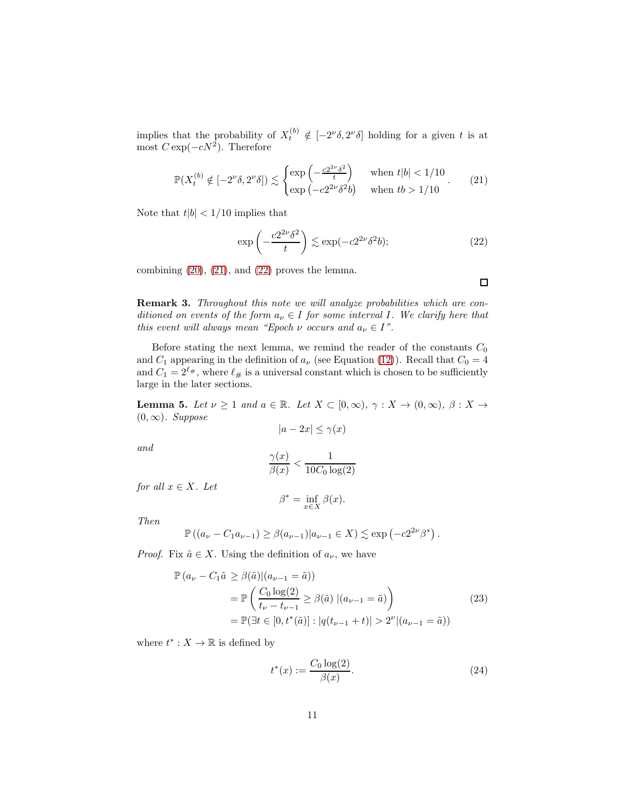implies that the probability of  $X_t^{(b)} \notin [-2^{\nu} \delta, 2^{\nu} \delta]$  holding for a given t is at most  $C \exp(-cN^2)$ . Therefore

<span id="page-10-0"></span>
$$
\mathbb{P}(X_t^{(b)} \notin [-2^{\nu}\delta, 2^{\nu}\delta]) \lesssim \begin{cases} \exp\left(-\frac{c2^{2\nu}\delta^2}{t}\right) & \text{when } t|b| < 1/10\\ \exp\left(-c2^{2\nu}\delta^2b\right) & \text{when } tb > 1/10 \end{cases}.
$$
 (21)

Note that  $t|b| < 1/10$  implies that

<span id="page-10-1"></span>
$$
\exp\left(-\frac{c2^{2\nu}\delta^2}{t}\right) \lesssim \exp(-c2^{2\nu}\delta^2 b); \tag{22}
$$

combining  $(20)$ ,  $(21)$ , and  $(22)$  proves the lemma.

<span id="page-10-4"></span>Remark 3. *Throughout this note we will analyze probabilities which are conditioned on events of the form*  $a_{\nu} \in I$  *for some interval I. We clarify here that this event will always mean "Epoch*  $\nu$  *occurs and*  $a_{\nu} \in I$ ".

Before stating the next lemma, we remind the reader of the constants  $C_0$ and  $C_1$  appearing in the definition of  $a_{\nu}$  (see Equation [\(12\)](#page-7-2)). Recall that  $C_0 = 4$ and  $C_1 = 2^{\ell_{\#}},$  where  $\ell_{\#}$  is a universal constant which is chosen to be sufficiently large in the later sections.

<span id="page-10-5"></span>**Lemma 5.** Let  $\nu \geq 1$  and  $a \in \mathbb{R}$ . Let  $X \subset [0,\infty)$ ,  $\gamma : X \to (0,\infty)$ ,  $\beta : X \to$ (0, ∞)*. Suppose*

$$
|a - 2x| \le \gamma(x)
$$

*and*

$$
\frac{\gamma(x)}{\beta(x)} < \frac{1}{10C_0 \log(2)}
$$

*for all*  $x \in X$ *. Let* 

$$
\beta^* = \inf_{x \in X} \beta(x).
$$

*Then*

$$
\mathbb{P}\left((a_{\nu}-C_1a_{{\nu}-1})\geq\beta(a_{{\nu}-1})|a_{{\nu}-1}\in X\right)\lesssim\exp\left(-c2^{2\nu}\beta^*\right).
$$

*Proof.* Fix  $\tilde{a} \in X$ . Using the definition of  $a_{\nu}$ , we have

$$
\mathbb{P}(a_{\nu} - C_1 \tilde{a} \ge \beta(\tilde{a}) | (a_{\nu-1} = \tilde{a}) )
$$
  
= 
$$
\mathbb{P}\left(\frac{C_0 \log(2)}{t_{\nu} - t_{\nu-1}} \ge \beta(\tilde{a}) | (a_{\nu-1} = \tilde{a})\right)
$$
  
= 
$$
\mathbb{P}(\exists t \in [0, t^*(\tilde{a})] : |q(t_{\nu-1} + t)| > 2^{\nu} | (a_{\nu-1} = \tilde{a}) )
$$
 (23)

<span id="page-10-3"></span>where  $t^* : X \to \mathbb{R}$  is defined by

<span id="page-10-2"></span>
$$
t^*(x) := \frac{C_0 \log(2)}{\beta(x)}.
$$
 (24)

 $\Box$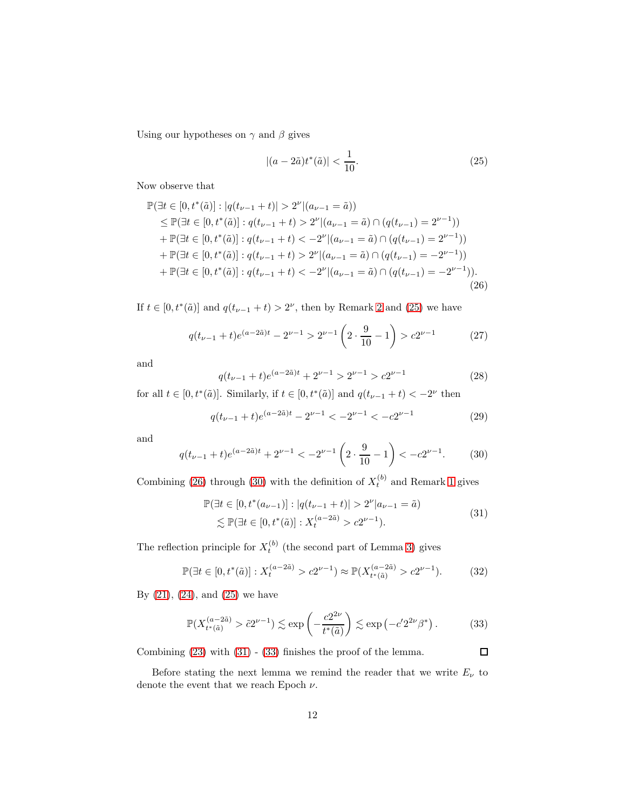Using our hypotheses on  $\gamma$  and  $\beta$  gives

<span id="page-11-0"></span>
$$
|(a - 2\tilde{a})t^*(\tilde{a})| < \frac{1}{10}.\tag{25}
$$

Now observe that

<span id="page-11-1"></span>
$$
\mathbb{P}(\exists t \in [0, t^*(\tilde{a})]: |q(t_{\nu-1} + t)| > 2^{\nu} |(a_{\nu-1} = \tilde{a}))
$$
\n
$$
\leq \mathbb{P}(\exists t \in [0, t^*(\tilde{a})]: q(t_{\nu-1} + t) > 2^{\nu} |(a_{\nu-1} = \tilde{a}) \cap (q(t_{\nu-1}) = 2^{\nu-1}))
$$
\n
$$
+ \mathbb{P}(\exists t \in [0, t^*(\tilde{a})]: q(t_{\nu-1} + t) < -2^{\nu} |(a_{\nu-1} = \tilde{a}) \cap (q(t_{\nu-1}) = 2^{\nu-1}))
$$
\n
$$
+ \mathbb{P}(\exists t \in [0, t^*(\tilde{a})): q(t_{\nu-1} + t) > 2^{\nu} |(a_{\nu-1} = \tilde{a}) \cap (q(t_{\nu-1}) = -2^{\nu-1}))
$$
\n
$$
+ \mathbb{P}(\exists t \in [0, t^*(\tilde{a}]): q(t_{\nu-1} + t) < -2^{\nu} |(a_{\nu-1} = \tilde{a}) \cap (q(t_{\nu-1}) = -2^{\nu-1})).
$$
\n(26)

If  $t \in [0, t^*(\tilde{a})]$  and  $q(t_{\nu-1} + t) > 2^{\nu}$  $q(t_{\nu-1} + t) > 2^{\nu}$  $q(t_{\nu-1} + t) > 2^{\nu}$ , then by Remark 2 and [\(25\)](#page-11-0) we have

$$
q(t_{\nu-1} + t)e^{(a-2\tilde{a})t} - 2^{\nu-1} > 2^{\nu-1}\left(2 \cdot \frac{9}{10} - 1\right) > c2^{\nu-1} \tag{27}
$$

and

$$
q(t_{\nu-1} + t)e^{(a-2\tilde{a})t} + 2^{\nu-1} > 2^{\nu-1} > c2^{\nu-1}
$$
 (28)

for all  $t \in [0, t^*(\tilde{a})]$ . Similarly, if  $t \in [0, t^*(\tilde{a})]$  and  $q(t_{\nu-1} + t) < -2^{\nu}$  then

$$
q(t_{\nu-1} + t)e^{(a-2\tilde{a})t} - 2^{\nu-1} < -2^{\nu-1} < -c2^{\nu-1} \tag{29}
$$

and

<span id="page-11-2"></span>
$$
q(t_{\nu-1} + t)e^{(a-2\tilde{a})t} + 2^{\nu-1} < -2^{\nu-1} \left( 2 \cdot \frac{9}{10} - 1 \right) < -c2^{\nu-1}.\tag{30}
$$

Combining [\(26\)](#page-11-1) through [\(30\)](#page-11-2) with the definition of  $X_t^{(b)}$  and Remark [1](#page-8-1) gives

$$
\mathbb{P}(\exists t \in [0, t^*(a_{\nu-1})]: |q(t_{\nu-1} + t)| > 2^{\nu}|a_{\nu-1} = \tilde{a})
$$
  
\$\lesssim \mathbb{P}(\exists t \in [0, t^\*(\tilde{a})]: X\_t^{(a-2\tilde{a})} > c2^{\nu-1}).\$ (31)

<span id="page-11-3"></span>The reflection principle for  $X_t^{(b)}$  (the second part of Lemma [3\)](#page-7-0) gives

$$
\mathbb{P}(\exists t \in [0, t^*(\tilde{a})]: X_t^{(a-2\tilde{a})} > c2^{\nu-1}) \approx \mathbb{P}(X_{t^*(\tilde{a})}^{(a-2\tilde{a})} > c2^{\nu-1}).
$$
 (32)

By  $(21)$ ,  $(24)$ , and  $(25)$  we have

<span id="page-11-4"></span>
$$
\mathbb{P}(X_{t^*(\tilde{a})}^{(a-2\tilde{a})} > \tilde{c}2^{\nu-1}) \lesssim \exp\left(-\frac{c2^{2\nu}}{t^*(\tilde{a})}\right) \lesssim \exp\left(-c'2^{2\nu}\beta^*\right). \tag{33}
$$

Combining [\(23\)](#page-10-3) with [\(31\)](#page-11-3) - [\(33\)](#page-11-4) finishes the proof of the lemma.

 $\Box$ 

Before stating the next lemma we remind the reader that we write  $E_{\nu}$  to denote the event that we reach Epoch  $\nu$ .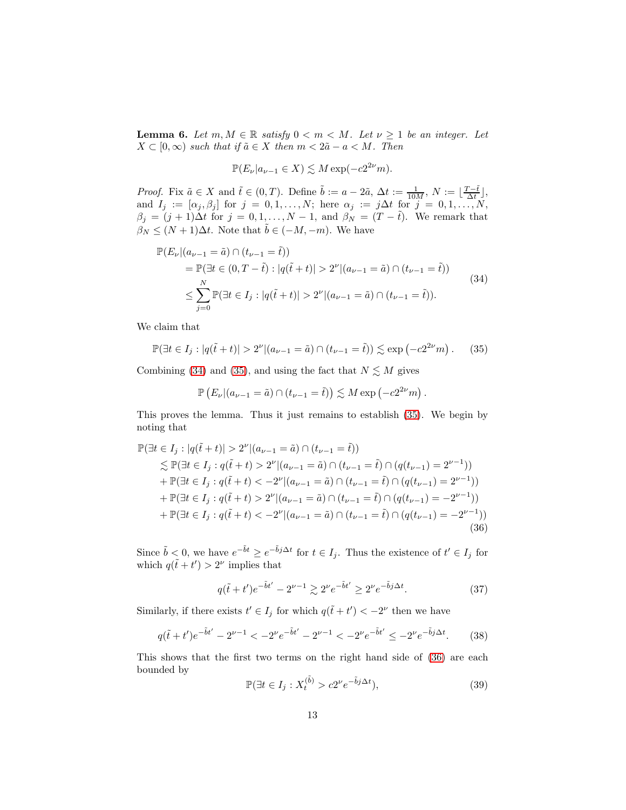<span id="page-12-6"></span>**Lemma 6.** Let  $m, M \in \mathbb{R}$  satisfy  $0 < m < M$ . Let  $\nu \geq 1$  be an integer. Let  $X \subset [0,\infty)$  *such that if*  $\tilde{a} \in X$  *then*  $m < 2\tilde{a} - a < M$ *. Then* 

$$
\mathbb{P}(E_{\nu}|a_{\nu-1} \in X) \lesssim M \exp(-c2^{2\nu}m).
$$

*Proof.* Fix  $\tilde{a} \in X$  and  $\tilde{t} \in (0, T)$ . Define  $\tilde{b} := a - 2\tilde{a}$ ,  $\Delta t := \frac{1}{10M}$ ,  $N := \lfloor \frac{T - \tilde{t}}{\Delta t} \rfloor$ , and  $I_j := [\alpha_j, \beta_j]$  for  $j = 0, 1, \ldots, N$ ; here  $\alpha_j := j\Delta t$  for  $j = 0, 1, \ldots, N$ ,  $\beta_j = (j+1)\Delta t$  for  $j = 0, 1, \ldots, N-1$ , and  $\beta_N = (T - \tilde{t})$ . We remark that  $\beta_N \leq (N+1)\Delta t$ . Note that  $\tilde{b} \in (-M, -m)$ . We have

<span id="page-12-0"></span>
$$
\mathbb{P}(E_{\nu}|(a_{\nu-1} = \tilde{a}) \cap (t_{\nu-1} = \tilde{t}))
$$
\n
$$
= \mathbb{P}(\exists t \in (0, T - \tilde{t}) : |q(\tilde{t} + t)| > 2^{\nu} |(a_{\nu-1} = \tilde{a}) \cap (t_{\nu-1} = \tilde{t}))
$$
\n
$$
\leq \sum_{j=0}^{N} \mathbb{P}(\exists t \in I_j : |q(\tilde{t} + t)| > 2^{\nu} |(a_{\nu-1} = \tilde{a}) \cap (t_{\nu-1} = \tilde{t})).
$$
\n(34)

We claim that

<span id="page-12-1"></span>
$$
\mathbb{P}(\exists t \in I_j : |q(\tilde{t} + t)| > 2^{\nu} |(a_{\nu - 1} = \tilde{a}) \cap (t_{\nu - 1} = \tilde{t})) \lesssim \exp(-c2^{2\nu}m). \tag{35}
$$

Combining [\(34\)](#page-12-0) and [\(35\)](#page-12-1), and using the fact that  $N \lesssim M$  gives

$$
\mathbb{P}\left(E_{\nu}|(a_{\nu-1}=\tilde{a})\cap(t_{\nu-1}=\tilde{t})\right)\lesssim M\exp\left(-c2^{2\nu}m\right).
$$

This proves the lemma. Thus it just remains to establish [\(35\)](#page-12-1). We begin by noting that

<span id="page-12-2"></span>
$$
\mathbb{P}(\exists t \in I_j : |q(\tilde{t} + t)| > 2^{\nu} | (a_{\nu-1} = \tilde{a}) \cap (t_{\nu-1} = \tilde{t}))
$$
\n
$$
\lesssim \mathbb{P}(\exists t \in I_j : q(\tilde{t} + t) > 2^{\nu} | (a_{\nu-1} = \tilde{a}) \cap (t_{\nu-1} = \tilde{t}) \cap (q(t_{\nu-1}) = 2^{\nu-1}))
$$
\n
$$
+ \mathbb{P}(\exists t \in I_j : q(\tilde{t} + t) < -2^{\nu} | (a_{\nu-1} = \tilde{a}) \cap (t_{\nu-1} = \tilde{t}) \cap (q(t_{\nu-1}) = 2^{\nu-1}))
$$
\n
$$
+ \mathbb{P}(\exists t \in I_j : q(\tilde{t} + t) > 2^{\nu} | (a_{\nu-1} = \tilde{a}) \cap (t_{\nu-1} = \tilde{t}) \cap (q(t_{\nu-1}) = -2^{\nu-1}))
$$
\n
$$
+ \mathbb{P}(\exists t \in I_j : q(\tilde{t} + t) < -2^{\nu} | (a_{\nu-1} = \tilde{a}) \cap (t_{\nu-1} = \tilde{t}) \cap (q(t_{\nu-1}) = -2^{\nu-1}))
$$
\n(36)

Since  $\tilde{b} < 0$ , we have  $e^{-\tilde{b}t} \geq e^{-\tilde{b}j\Delta t}$  for  $t \in I_j$ . Thus the existence of  $t' \in I_j$  for which  $q(\tilde{t} + t') > 2^{\nu}$  implies that

<span id="page-12-3"></span>
$$
q(\tilde{t} + t')e^{-\tilde{b}t'} - 2^{\nu - 1} \gtrsim 2^{\nu}e^{-\tilde{b}t'} \ge 2^{\nu}e^{-\tilde{b}j\Delta t}.
$$
 (37)

Similarly, if there exists  $t' \in I_j$  for which  $q(\tilde{t} + t') < -2^{\nu}$  then we have

<span id="page-12-4"></span>
$$
q(\tilde{t} + t')e^{-\tilde{b}t'} - 2^{\nu - 1} < -2^{\nu}e^{-\tilde{b}t'} - 2^{\nu - 1} < -2^{\nu}e^{-\tilde{b}t'} \le -2^{\nu}e^{-\tilde{b}j\Delta t}.\tag{38}
$$

This shows that the first two terms on the right hand side of [\(36\)](#page-12-2) are each bounded by

<span id="page-12-5"></span>
$$
\mathbb{P}(\exists t \in I_j : X_t^{(\tilde{b})} > c2^{\nu} e^{-\tilde{b}j\Delta t}),\tag{39}
$$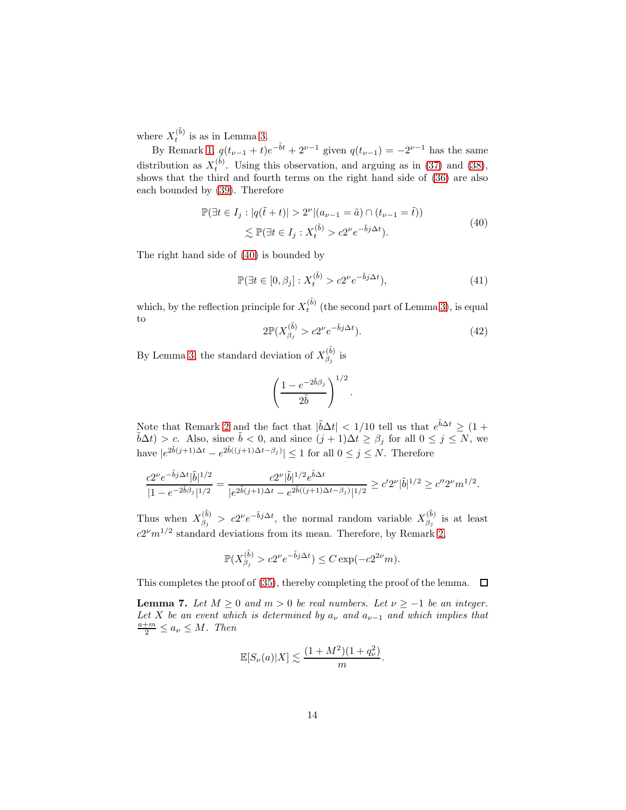where  $X_t^{(\tilde{b})}$  is as in Lemma [3.](#page-7-0)

By Remark [1,](#page-8-1)  $q(t_{\nu-1} + t)e^{-\tilde{b}t} + 2^{\nu-1}$  given  $q(t_{\nu-1}) = -2^{\nu-1}$  has the same distribution as  $X_t^{(\tilde{b})}$ . Using this observation, and arguing as in [\(37\)](#page-12-3) and [\(38\)](#page-12-4), shows that the third and fourth terms on the right hand side of [\(36\)](#page-12-2) are also each bounded by [\(39\)](#page-12-5). Therefore

$$
\mathbb{P}(\exists t \in I_j : |q(\tilde{t} + t)| > 2^{\nu} |(a_{\nu - 1} = \tilde{a}) \cap (t_{\nu - 1} = \tilde{t}))
$$
  

$$
\lesssim \mathbb{P}(\exists t \in I_j : X_t^{(\tilde{b})} > c2^{\nu} e^{-\tilde{b}j\Delta t}).
$$
 (40)

<span id="page-13-0"></span>The right hand side of [\(40\)](#page-13-0) is bounded by

$$
\mathbb{P}(\exists t \in [0, \beta_j] : X_t^{(\tilde{b})} > c2^{\nu} e^{-\tilde{b}_j \Delta t}),\tag{41}
$$

.

which, by the reflection principle for  $X_t^{(\tilde{b})}$  (the second part of Lemma [3\)](#page-7-0), is equal to

$$
2\mathbb{P}(X_{\beta_j}^{(\tilde{b})} > c2^{\nu}e^{-\tilde{b}j\Delta t}).\tag{42}
$$

By Lemma [3,](#page-7-0) the standard deviation of  $X_{\beta_i}^{(\tilde{b})}$  $\beta_j^{(0)}$  is

$$
\left(\frac{1-e^{-2\tilde{b}\beta_j}}{2\tilde{b}}\right)^{1/2}
$$

Note that Remark [2](#page-8-2) and the fact that  $|\tilde{b}\Delta t| < 1/10$  tell us that  $e^{\tilde{b}\Delta t} \geq (1 + \tilde{b}\Delta t)$  $\tilde{b}\Delta t$ ) > c. Also, since  $\tilde{b} < 0$ , and since  $(j + 1)\Delta t \ge \beta_j$  for all  $0 \le j \le N$ , we have  $|e^{2\tilde{b}(j+1)\Delta t} - e^{2\tilde{b}((j+1)\Delta t - \beta_j)}| \le 1$  for all  $0 \le j \le N$ . Therefore

$$
\frac{c2^{\nu}e^{-\tilde{b}j\Delta t}|\tilde{b}|^{1/2}}{|1-e^{-2\tilde{b}\beta_j}|^{1/2}} = \frac{c2^{\nu}|\tilde{b}|^{1/2}e^{\tilde{b}\Delta t}}{|e^{2\tilde{b}(j+1)\Delta t} - e^{2\tilde{b}((j+1)\Delta t - \beta_j)}|^{1/2}} \ge c'2^{\nu}|\tilde{b}|^{1/2} \ge c''2^{\nu}m^{1/2}.
$$

Thus when  $X_{\beta_i}^{(\tilde{b})}$  $\binom{(\tilde{b})}{\beta_j} > c2^{\nu}e^{-\tilde{b}j\Delta t}$ , the normal random variable  $X_{\beta_j}^{(\tilde{b})}$  $\beta_j^{(0)}$  is at least  $c2^{\nu}m^{1/2}$  standard deviations from its mean. Therefore, by Remark [2,](#page-8-2)

$$
\mathbb{P}(X_{\beta_j}^{(\tilde{b})} > c2^{\nu} e^{-\tilde{b}j\Delta t}) \le C \exp(-c2^{2\nu}m).
$$

This completes the proof of [\(35\)](#page-12-1), thereby completing the proof of the lemma.  $\Box$ 

<span id="page-13-1"></span>**Lemma 7.** *Let*  $M \ge 0$  *and*  $m > 0$  *be real numbers. Let*  $\nu \ge -1$  *be an integer.* Let X be an event which is determined by  $a_{\nu}$  and  $a_{\nu-1}$  and which implies that  $\frac{a+m}{2} \leq a_{\nu} \leq M$ . Then

$$
\mathbb{E}[S_{\nu}(a)|X] \lesssim \frac{(1+M^2)(1+q_{\nu}^2)}{m}.
$$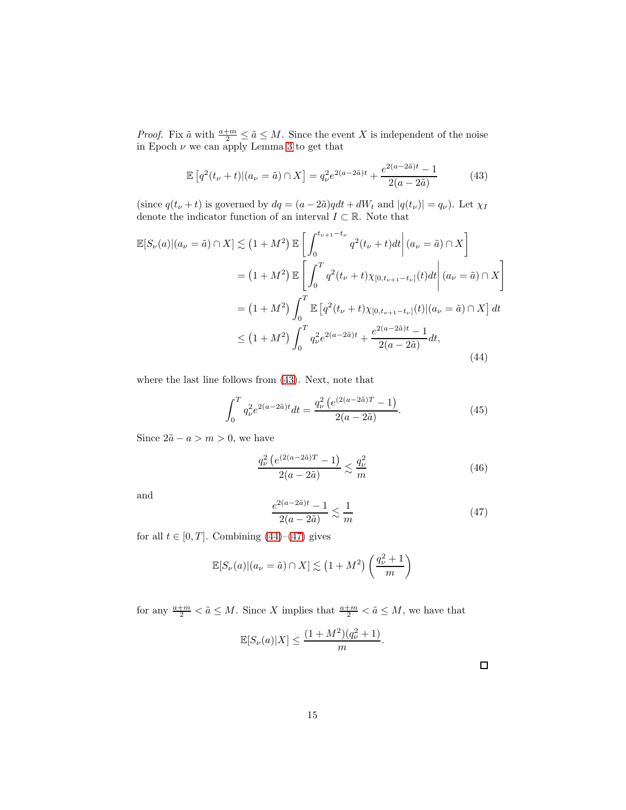*Proof.* Fix  $\tilde{a}$  with  $\frac{a+m}{2} \leq \tilde{a} \leq M$ . Since the event X is independent of the noise in Epoch  $\nu$  we can apply Lemma [3](#page-7-0) to get that

<span id="page-14-0"></span>
$$
\mathbb{E}\left[q^2(t_\nu+t)|(a_\nu=\tilde{a})\cap X\right] = q_\nu^2 e^{2(a-2\tilde{a})t} + \frac{e^{2(a-2\tilde{a})t}-1}{2(a-2\tilde{a})} \tag{43}
$$

(since  $q(t_{\nu} + t)$  is governed by  $dq = (a - 2\tilde{a})qdt + dW_t$  and  $|q(t_{\nu})| = q_{\nu}$ ). Let  $\chi_I$ denote the indicator function of an interval  $I\subset\mathbb{R}.$  Note that

<span id="page-14-1"></span>
$$
\mathbb{E}[S_{\nu}(a)|(a_{\nu} = \tilde{a}) \cap X] \lesssim (1 + M^{2}) \mathbb{E}\left[\int_{0}^{t_{\nu+1}-t_{\nu}} q^{2}(t_{\nu} + t)dt \middle| (a_{\nu} = \tilde{a}) \cap X\right]
$$
  
\n
$$
= (1 + M^{2}) \mathbb{E}\left[\int_{0}^{T} q^{2}(t_{\nu} + t)\chi_{[0,t_{\nu+1}-t_{\nu}]}(t)dt \middle| (a_{\nu} = \tilde{a}) \cap X\right]
$$
  
\n
$$
= (1 + M^{2}) \int_{0}^{T} \mathbb{E}\left[q^{2}(t_{\nu} + t)\chi_{[0,t_{\nu+1}-t_{\nu}]}(t) \middle| (a_{\nu} = \tilde{a}) \cap X\right] dt
$$
  
\n
$$
\leq (1 + M^{2}) \int_{0}^{T} q_{\nu}^{2} e^{2(a - 2\tilde{a})t} + \frac{e^{2(a - 2\tilde{a})t} - 1}{2(a - 2\tilde{a})} dt,
$$
\n(44)

where the last line follows from [\(43\)](#page-14-0). Next, note that

$$
\int_0^T q_\nu^2 e^{2(a-2\tilde{a})t} dt = \frac{q_\nu^2 \left( e^{(2(a-2\tilde{a})T} - 1 \right)}{2(a-2\tilde{a})}.
$$
\n(45)

Since  $2\tilde{a} - a > m > 0$ , we have

$$
\frac{q_{\nu}^{2} \left(e^{(2(a-2\tilde{a})T}-1)\right)}{2(a-2\tilde{a})} \lesssim \frac{q_{\nu}^{2}}{m}
$$
 (46)

and

<span id="page-14-2"></span>
$$
\frac{e^{2(a-2\tilde{a})t} - 1}{2(a-2\tilde{a})} \lesssim \frac{1}{m} \tag{47}
$$

for all  $t \in [0, T]$ . Combining  $(44)$ – $(47)$  gives

$$
\mathbb{E}[S_{\nu}(a)|(a_{\nu}=\tilde{a})\cap X] \lesssim (1+M^2)\left(\frac{q_{\nu}^2+1}{m}\right)
$$

for any  $\frac{a+m}{2} < \tilde{a} \leq M$ . Since X implies that  $\frac{a+m}{2} < \tilde{a} \leq M$ , we have that

$$
\mathbb{E}[S_{\nu}(a)|X] \le \frac{(1+M^2)(q_{\nu}^2+1)}{m}.
$$

 $\Box$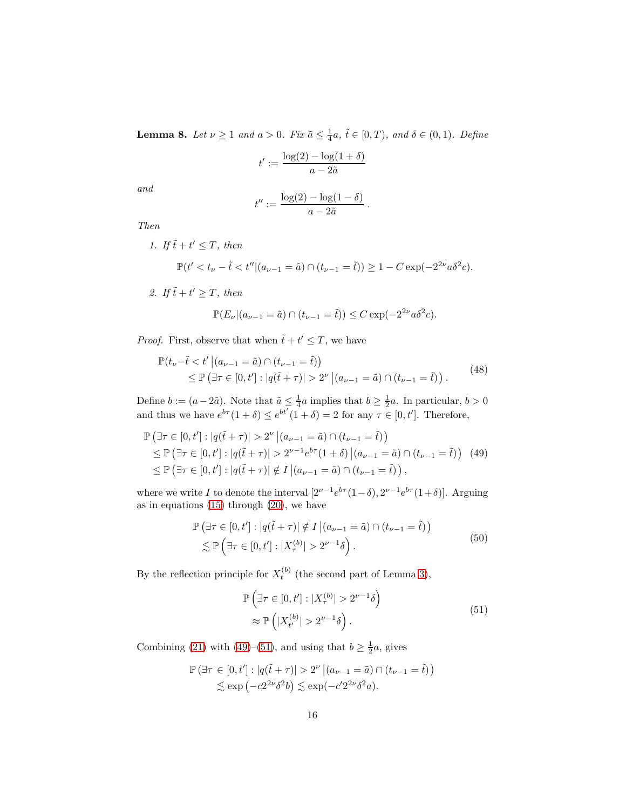<span id="page-15-3"></span>**Lemma 8.** *Let*  $\nu \ge 1$  *and*  $a > 0$ *. Fix*  $\tilde{a} \le \frac{1}{4}a$ *,*  $\tilde{t} \in [0, T)$ *, and*  $\delta \in (0, 1)$ *. Define* 

$$
t' := \frac{\log(2) - \log(1+\delta)}{a - 2\tilde{a}}
$$

*and*

$$
t'':=\frac{\log(2)-\log(1-\delta)}{a-2\tilde{a}}.
$$

*Then*

1. If  $\tilde{t} + t' \leq T$ , then

$$
\mathbb{P}(t' < t_{\nu} - \tilde{t} < t'' | (a_{\nu - 1} = \tilde{a}) \cap (t_{\nu - 1} = \tilde{t})) \ge 1 - C \exp(-2^{2\nu} a \delta^2 c).
$$

2. If  $\tilde{t} + t' \geq T$ , then

$$
\mathbb{P}(E_{\nu}|(a_{\nu-1}=\tilde{a})\cap (t_{\nu-1}=\tilde{t}))\leq C\exp(-2^{2\nu}a\delta^2c).
$$

*Proof.* First, observe that when  $\tilde{t} + t' \leq T$ , we have

<span id="page-15-2"></span>
$$
\mathbb{P}(t_{\nu} - \tilde{t} < t' \, \big| (a_{\nu - 1} = \tilde{a}) \cap (t_{\nu - 1} = \tilde{t}) \big) \\
 \leq \mathbb{P} \left( \exists \tau \in [0, t']: |q(\tilde{t} + \tau)| > 2^{\nu} \, \big| (a_{\nu - 1} = \tilde{a}) \cap (t_{\nu - 1} = \tilde{t}) \right). \tag{48}
$$

Define  $b := (a - 2\tilde{a})$ . Note that  $\tilde{a} \leq \frac{1}{4}a$  implies that  $b \geq \frac{1}{2}a$ . In particular,  $b > 0$ and thus we have  $e^{b\tau}(1+\delta) \leq e^{bt'}(1+\delta) = 2$  for any  $\tau \in [0, t']$ . Therefore,

<span id="page-15-0"></span>
$$
\mathbb{P}(\exists \tau \in [0, t'] : |q(\tilde{t} + \tau)| > 2^{\nu} |(a_{\nu-1} = \tilde{a}) \cap (t_{\nu-1} = \tilde{t}))
$$
\n
$$
\leq \mathbb{P}(\exists \tau \in [0, t'] : |q(\tilde{t} + \tau)| > 2^{\nu-1} e^{b\tau} (1 + \delta) |(a_{\nu-1} = \tilde{a}) \cap (t_{\nu-1} = \tilde{t})) \quad (49)
$$
\n
$$
\leq \mathbb{P}(\exists \tau \in [0, t'] : |q(\tilde{t} + \tau)| \notin I | (a_{\nu-1} = \tilde{a}) \cap (t_{\nu-1} = \tilde{t})),
$$

where we write I to denote the interval  $[2^{\nu-1}e^{b\tau}(1-\delta), 2^{\nu-1}e^{b\tau}(1+\delta)].$  Arguing as in equations [\(15\)](#page-9-0) through [\(20\)](#page-9-3), we have

$$
\mathbb{P}\left(\exists \tau \in [0, t'] : |q(\tilde{t} + \tau)| \notin I \, \middle| \, (a_{\nu-1} = \tilde{a}) \cap (t_{\nu-1} = \tilde{t})\right) \n\lesssim \mathbb{P}\left(\exists \tau \in [0, t'] : |X_{\tau}^{(b)}| > 2^{\nu-1}\delta\right).
$$
\n(50)

By the reflection principle for  $X_t^{(b)}$  (the second part of Lemma [3\)](#page-7-0),

$$
\mathbb{P}\left(\exists \tau \in [0, t'] : |X_{\tau}^{(b)}| > 2^{\nu - 1}\delta\right) \approx \mathbb{P}\left(|X_{t'}^{(b)}| > 2^{\nu - 1}\delta\right).
$$
\n(51)

<span id="page-15-1"></span>Combining [\(21\)](#page-10-0) with [\(49\)](#page-15-0)–[\(51\)](#page-15-1), and using that  $b \ge \frac{1}{2}a$ , gives

$$
\mathbb{P}(\exists \tau \in [0, t'] : |q(\tilde{t} + \tau)| > 2^{\nu} |(a_{\nu-1} = \tilde{a}) \cap (t_{\nu-1} = \tilde{t}))
$$
  
\$\lesssim \exp(-c2^{\nu} \delta^2 b) \lesssim \exp(-c' 2^{2\nu} \delta^2 a).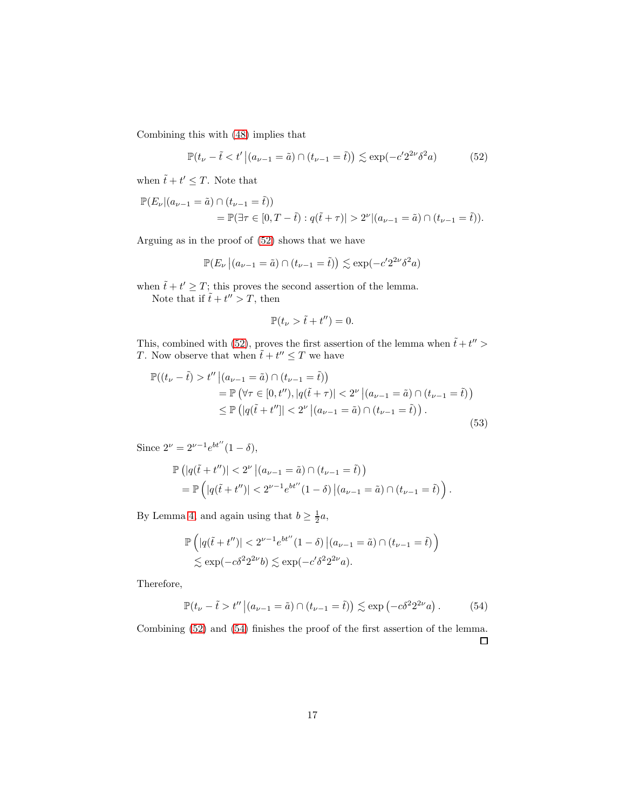Combining this with [\(48\)](#page-15-2) implies that

<span id="page-16-0"></span>
$$
\mathbb{P}(t_{\nu} - \tilde{t} < t' \, \big| (a_{\nu - 1} = \tilde{a}) \cap (t_{\nu - 1} = \tilde{t}) \big) \lesssim \exp(-c' 2^{2\nu} \delta^2 a) \tag{52}
$$

when  $\tilde{t} + t' \leq T$ . Note that

$$
\mathbb{P}(E_{\nu}|(a_{\nu-1} = \tilde{a}) \cap (t_{\nu-1} = \tilde{t}))
$$
  
= 
$$
\mathbb{P}(\exists \tau \in [0, T - \tilde{t}) : q(\tilde{t} + \tau)| > 2^{\nu} |(a_{\nu-1} = \tilde{a}) \cap (t_{\nu-1} = \tilde{t})).
$$

Arguing as in the proof of [\(52\)](#page-16-0) shows that we have

$$
\mathbb{P}(E_{\nu}\left| \left(a_{\nu-1}=\tilde{a}\right) \cap\left(t_{\nu-1}=\tilde{t}\right) \right)\lesssim \exp(-c' 2^{2\nu} \delta^2 a)
$$

when  $\tilde{t} + t' \geq T$ ; this proves the second assertion of the lemma. Note that if  $\tilde{t} + t'' > T$ , then

$$
\mathbb{P}(t_{\nu} > \tilde{t} + t'') = 0.
$$

This, combined with [\(52\)](#page-16-0), proves the first assertion of the lemma when  $\tilde{t} + t'' >$ T. Now observe that when  $\tilde{t} + t'' \leq T$  we have

$$
\mathbb{P}((t_{\nu} - \tilde{t}) > t'' \mid (a_{\nu - 1} = \tilde{a}) \cap (t_{\nu - 1} = \tilde{t}))
$$
\n
$$
= \mathbb{P}(\forall \tau \in [0, t''), |q(\tilde{t} + \tau)| < 2^{\nu} \mid (a_{\nu - 1} = \tilde{a}) \cap (t_{\nu - 1} = \tilde{t}))
$$
\n
$$
\leq \mathbb{P}(|q(\tilde{t} + t'']| < 2^{\nu} \mid (a_{\nu - 1} = \tilde{a}) \cap (t_{\nu - 1} = \tilde{t})).
$$
\n(53)

Since  $2^{\nu} = 2^{\nu - 1} e^{bt''}(1 - \delta),$ 

$$
\mathbb{P}\left(|q(\tilde{t}+t'')|<2^{\nu}\left|(a_{\nu-1}=\tilde{a})\cap(t_{\nu-1}=\tilde{t})\right)\right) \n= \mathbb{P}\left(|q(\tilde{t}+t'')|<2^{\nu-1}e^{bt''}(1-\delta)\left|(a_{\nu-1}=\tilde{a})\cap(t_{\nu-1}=\tilde{t})\right.\right).
$$

By Lemma [4,](#page-8-3) and again using that  $b \geq \frac{1}{2}a$ ,

$$
\mathbb{P}\left(|q(\tilde{t}+t'')|<2^{\nu-1}e^{bt''}(1-\delta)\left|(a_{\nu-1}=\tilde{a})\cap(t_{\nu-1}=\tilde{t})\right)\right)
$$
  
\$\lesssim \exp(-c\delta^2 2^{2\nu}b) \lesssim \exp(-c'\delta^2 2^{2\nu}a).

Therefore,

<span id="page-16-1"></span>
$$
\mathbb{P}(t_{\nu}-\tilde{t}>t''|(a_{\nu-1}=\tilde{a})\cap(t_{\nu-1}=\tilde{t}))\lesssim \exp\left(-c\delta^2 2^{2\nu}a\right). \tag{54}
$$

Combining [\(52\)](#page-16-0) and [\(54\)](#page-16-1) finishes the proof of the first assertion of the lemma.  $\Box$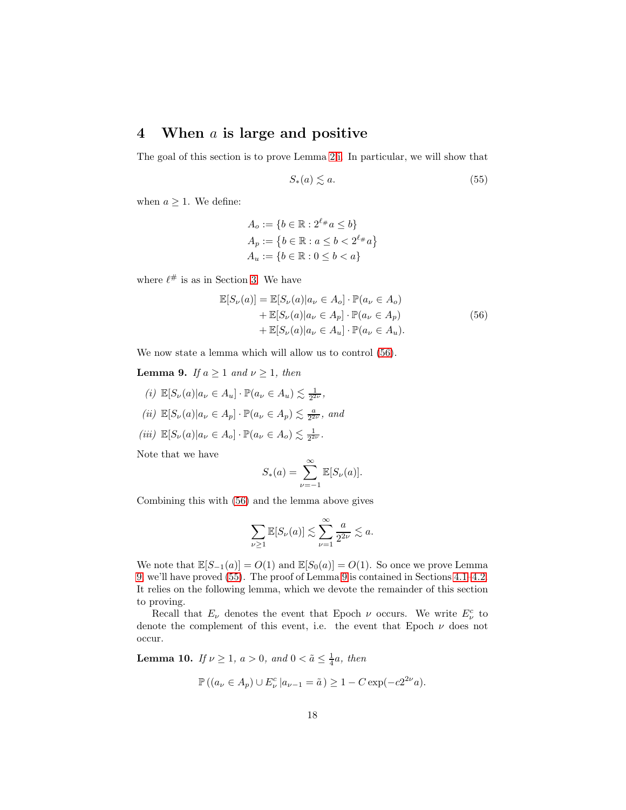## <span id="page-17-0"></span>4 When  $a$  is large and positive

The goal of this section is to prove Lemma [2](#page-6-2)[.i.](#page-6-3) In particular, we will show that

<span id="page-17-4"></span>
$$
S_*(a) \lesssim a. \tag{55}
$$

when  $a \geq 1$ . We define:

$$
A_o := \{b \in \mathbb{R} : 2^{\ell_{\#}}a \le b\}
$$
  
\n
$$
A_p := \{b \in \mathbb{R} : a \le b < 2^{\ell_{\#}}a\}
$$
  
\n
$$
A_u := \{b \in \mathbb{R} : 0 \le b < a\}
$$

<span id="page-17-2"></span>where  $\ell^{\#}$  is as in Section [3.](#page-6-0) We have

$$
\mathbb{E}[S_{\nu}(a)] = \mathbb{E}[S_{\nu}(a)|a_{\nu} \in A_o] \cdot \mathbb{P}(a_{\nu} \in A_o)
$$
  
+  $\mathbb{E}[S_{\nu}(a)|a_{\nu} \in A_p] \cdot \mathbb{P}(a_{\nu} \in A_p)$   
+  $\mathbb{E}[S_{\nu}(a)|a_{\nu} \in A_u] \cdot \mathbb{P}(a_{\nu} \in A_u).$  (56)

We now state a lemma which will allow us to control [\(56\)](#page-17-2).

<span id="page-17-5"></span><span id="page-17-3"></span>**Lemma 9.** *If*  $a \ge 1$  *and*  $\nu \ge 1$ *, then* 

- <span id="page-17-6"></span>(*i*)  $\mathbb{E}[S_{\nu}(a)|a_{\nu} \in A_u] \cdot \mathbb{P}(a_{\nu} \in A_u) \lesssim \frac{1}{2^{2\nu}},$
- <span id="page-17-7"></span>(*ii*)  $\mathbb{E}[S_{\nu}(a)|a_{\nu} \in A_p] \cdot \mathbb{P}(a_{\nu} \in A_p) \lesssim \frac{a}{2^{2\nu}}, \text{ and}$
- $(iii) \mathbb{E}[S_{\nu}(a)|a_{\nu} \in A_o] \cdot \mathbb{P}(a_{\nu} \in A_o) \lesssim \frac{1}{2^{2\nu}}.$

Note that we have

$$
S_*(a) = \sum_{\nu=-1}^{\infty} \mathbb{E}[S_{\nu}(a)].
$$

Combining this with [\(56\)](#page-17-2) and the lemma above gives

$$
\sum_{\nu \ge 1} \mathbb{E}[S_{\nu}(a)] \lesssim \sum_{\nu=1}^{\infty} \frac{a}{2^{2\nu}} \lesssim a.
$$

We note that  $\mathbb{E}[S_{-1}(a)] = O(1)$  and  $\mathbb{E}[S_0(a)] = O(1)$ . So once we prove Lemma [9,](#page-17-3) we'll have proved [\(55\)](#page-17-4). The proof of Lemma [9](#page-17-3) is contained in Sections [4.1–](#page-19-0)[4.2.](#page-20-0) It relies on the following lemma, which we devote the remainder of this section to proving.

Recall that  $E_{\nu}$  denotes the event that Epoch  $\nu$  occurs. We write  $E_{\nu}^{c}$  to denote the complement of this event, i.e. the event that Epoch  $\nu$  does not occur.

<span id="page-17-1"></span>**Lemma 10.** *If*  $\nu \ge 1$ *,*  $a > 0$ *,* and  $0 < \tilde{a} \le \frac{1}{4}a$ *, then* 

$$
\mathbb{P}\left((a_{\nu} \in A_{p}) \cup E_{\nu}^{c} | a_{\nu-1} = \tilde{a}\right) \ge 1 - C \exp(-c2^{2\nu}a).
$$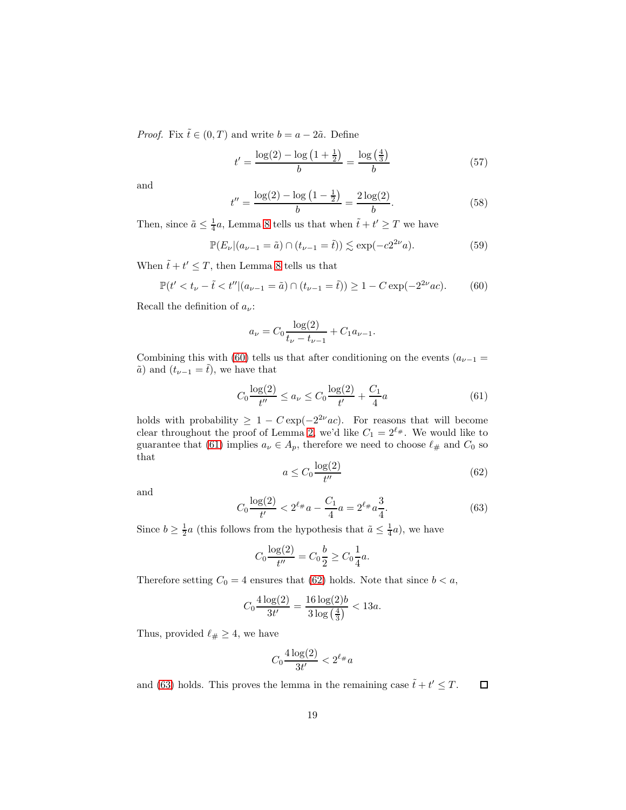*Proof.* Fix  $\tilde{t} \in (0, T)$  and write  $b = a - 2\tilde{a}$ . Define

$$
t' = \frac{\log(2) - \log(1 + \frac{1}{2})}{b} = \frac{\log(\frac{4}{3})}{b}
$$
(57)

and

$$
t'' = \frac{\log(2) - \log(1 - \frac{1}{2})}{b} = \frac{2\log(2)}{b}.
$$
 (58)

Then, since  $\tilde{a} \leq \frac{1}{4}a$ , Lemma [8](#page-15-3) tells us that when  $\tilde{t} + t' \geq T$  we have

$$
\mathbb{P}(E_{\nu}|(a_{\nu-1} = \tilde{a}) \cap (t_{\nu-1} = \tilde{t})) \lesssim \exp(-c2^{2\nu}a). \tag{59}
$$

When  $\tilde{t} + t' \leq T$ , then Lemma [8](#page-15-3) tells us that

<span id="page-18-0"></span>
$$
\mathbb{P}(t' < t_{\nu} - \tilde{t} < t'' | (a_{\nu - 1} = \tilde{a}) \cap (t_{\nu - 1} = \tilde{t})) \ge 1 - C \exp(-2^{2\nu} a c). \tag{60}
$$

Recall the definition of  $a_{\nu}$ :

$$
a_{\nu} = C_0 \frac{\log(2)}{t_{\nu} - t_{\nu - 1}} + C_1 a_{\nu - 1}.
$$

Combining this with [\(60\)](#page-18-0) tells us that after conditioning on the events ( $a_{\nu-1}$  =  $\tilde{a}$ ) and  $(t_{\nu-1} = \tilde{t})$ , we have that

<span id="page-18-1"></span>
$$
C_0 \frac{\log(2)}{t''} \le a_\nu \le C_0 \frac{\log(2)}{t'} + \frac{C_1}{4} a \tag{61}
$$

holds with probability  $\geq 1 - C \exp(-2^{2\nu}ac)$ . For reasons that will become clear throughout the proof of Lemma [2,](#page-6-2) we'd like  $C_1 = 2^{\ell_{\#}}$ . We would like to guarantee that [\(61\)](#page-18-1) implies  $a_{\nu} \in A_p$ , therefore we need to choose  $\ell_{\#}$  and  $C_0$  so that

<span id="page-18-2"></span>
$$
a \le C_0 \frac{\log(2)}{t''}
$$
\n<sup>(62)</sup>

and

<span id="page-18-3"></span>
$$
C_0 \frac{\log(2)}{t'} < 2^{\ell_\#} a - \frac{C_1}{4} a = 2^{\ell_\#} a \frac{3}{4}.\tag{63}
$$

Since  $b \geq \frac{1}{2}a$  (this follows from the hypothesis that  $\tilde{a} \leq \frac{1}{4}a$ ), we have

$$
C_0 \frac{\log(2)}{t''} = C_0 \frac{b}{2} \ge C_0 \frac{1}{4}a.
$$

Therefore setting  $C_0 = 4$  ensures that [\(62\)](#page-18-2) holds. Note that since  $b < a$ ,

$$
C_0 \frac{4 \log(2)}{3t'} = \frac{16 \log(2)b}{3 \log\left(\frac{4}{3}\right)} < 13a.
$$

Thus, provided  $\ell_{\#} \geq 4$ , we have

$$
C_0 \frac{4 \log(2)}{3t'} < 2^{\ell_{\#}} a
$$

and [\(63\)](#page-18-3) holds. This proves the lemma in the remaining case  $\tilde{t} + t' \leq T$ .  $\Box$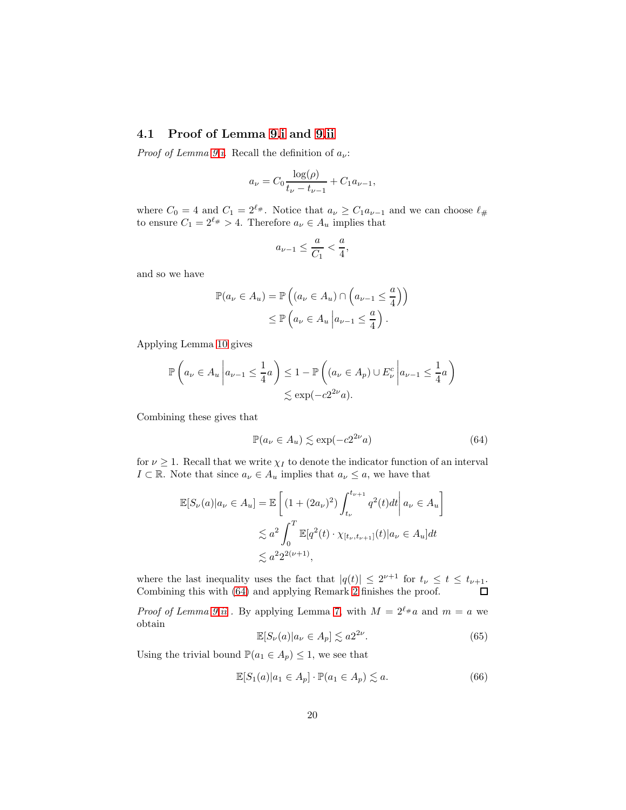#### <span id="page-19-0"></span>4.1 Proof of Lemma [9](#page-17-3)[.i](#page-17-5) and [9.](#page-17-3)[ii](#page-17-6)

*Proof of Lemma [9.](#page-17-3)[i.](#page-17-5)* Recall the definition of  $a_{\nu}$ :

$$
a_{\nu} = C_0 \frac{\log(\rho)}{t_{\nu} - t_{\nu - 1}} + C_1 a_{\nu - 1},
$$

where  $C_0 = 4$  and  $C_1 = 2^{\ell_{\#}}$ . Notice that  $a_{\nu} \geq C_1 a_{\nu-1}$  and we can choose  $\ell_{\#}$ to ensure  $C_1 = 2^{\ell_{\#}} > 4$ . Therefore  $a_{\nu} \in A_u$  implies that

$$
a_{\nu-1} \le \frac{a}{C_1} < \frac{a}{4},
$$

and so we have

$$
\mathbb{P}(a_{\nu} \in A_u) = \mathbb{P}\left((a_{\nu} \in A_u) \cap \left(a_{\nu-1} \leq \frac{a}{4}\right)\right)
$$

$$
\leq \mathbb{P}\left(a_{\nu} \in A_u \middle| a_{\nu-1} \leq \frac{a}{4}\right).
$$

Applying Lemma [10](#page-17-1) gives

$$
\mathbb{P}\left(a_{\nu} \in A_{u} \middle| a_{\nu-1} \leq \frac{1}{4}a\right) \leq 1 - \mathbb{P}\left((a_{\nu} \in A_{p}) \cup E_{\nu}^{c} \middle| a_{\nu-1} \leq \frac{1}{4}a\right)
$$

$$
\lesssim \exp(-c2^{2\nu}a).
$$

Combining these gives that

<span id="page-19-1"></span>
$$
\mathbb{P}(a_{\nu} \in A_u) \lesssim \exp(-c2^{2\nu}a)
$$
 (64)

for  $\nu \geq 1$ . Recall that we write  $\chi_I$  to denote the indicator function of an interval  $I \subset \mathbb{R}$ . Note that since  $a_{\nu} \in A_u$  implies that  $a_{\nu} \leq a$ , we have that

$$
\mathbb{E}[S_{\nu}(a)|a_{\nu} \in A_u] = \mathbb{E}\left[ (1 + (2a_{\nu})^2) \int_{t_{\nu}}^{t_{\nu+1}} q^2(t)dt \middle| a_{\nu} \in A_u \right]
$$
  

$$
\lesssim a^2 \int_0^T \mathbb{E}[q^2(t) \cdot \chi_{[t_{\nu}, t_{\nu+1}]}(t) \middle| a_{\nu} \in A_u \right] dt
$$
  

$$
\lesssim a^2 2^{2(\nu+1)},
$$

where the last inequality uses the fact that  $|q(t)| \leq 2^{\nu+1}$  for  $t_{\nu} \leq t \leq t_{\nu+1}$ . Combining this with [\(64\)](#page-19-1) and applying Remark [2](#page-8-2) finishes the proof.

*Proof of Lemma [9.](#page-17-3)[ii](#page-17-6)* . By applying Lemma [7,](#page-13-1) with  $M = 2^{\ell_{\#}}a$  and  $m = a$  we obtain

<span id="page-19-2"></span>
$$
\mathbb{E}[S_{\nu}(a)|a_{\nu} \in A_p] \lesssim a2^{2\nu}.
$$
\n(65)

Using the trivial bound  $\mathbb{P}(a_1 \in A_p) \leq 1$ , we see that

<span id="page-19-3"></span>
$$
\mathbb{E}[S_1(a)|a_1 \in A_p] \cdot \mathbb{P}(a_1 \in A_p) \lesssim a. \tag{66}
$$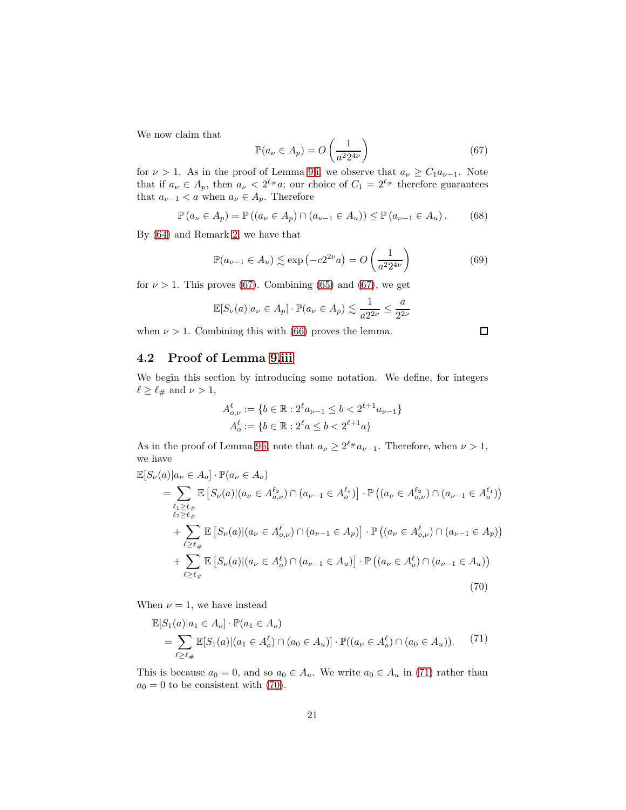We now claim that

<span id="page-20-1"></span>
$$
\mathbb{P}(a_{\nu} \in A_p) = O\left(\frac{1}{a^2 2^{4\nu}}\right) \tag{67}
$$

for  $\nu > 1$ . As in the proof of Lemma [9.](#page-17-3)[i,](#page-17-5) we observe that  $a_{\nu} \ge C_1 a_{\nu-1}$ . Note that if  $a_{\nu} \in A_p$ , then  $a_{\nu} < 2^{\ell_{\#}}a$ ; our choice of  $C_1 = 2^{\ell_{\#}}$  therefore guarantees that  $a_{\nu-1} < a$  when  $a_{\nu} \in A_p$ . Therefore

$$
\mathbb{P}\left(a_{\nu} \in A_{p}\right) = \mathbb{P}\left(\left(a_{\nu} \in A_{p}\right) \cap \left(a_{\nu-1} \in A_{u}\right)\right) \leq \mathbb{P}\left(a_{\nu-1} \in A_{u}\right). \tag{68}
$$

By [\(64\)](#page-19-1) and Remark [2,](#page-8-2) we have that

$$
\mathbb{P}(a_{\nu-1} \in A_u) \lesssim \exp\left(-c2^{2\nu}a\right) = O\left(\frac{1}{a^2 2^{4\nu}}\right)
$$
(69)

for  $\nu > 1$ . This proves [\(67\)](#page-20-1). Combining [\(65\)](#page-19-2) and (67), we get

$$
\mathbb{E}[S_{\nu}(a)|a_{\nu} \in A_p] \cdot \mathbb{P}(a_{\nu} \in A_p) \lesssim \frac{1}{a2^{2\nu}} \le \frac{a}{2^{2\nu}}
$$

when  $\nu > 1$ . Combining this with [\(66\)](#page-19-3) proves the lemma.

#### <span id="page-20-0"></span>4.2 Proof of Lemma [9](#page-17-3)[.iii](#page-17-7)

We begin this section by introducing some notation. We define, for integers  $\ell \geq \ell_{\#}$  and  $\nu > 1$ ,

$$
A^{\ell}_{o,\nu} := \{ b \in \mathbb{R} : 2^{\ell} a_{\nu-1} \le b < 2^{\ell+1} a_{\nu-1} \}
$$
  

$$
A^{\ell}_{o} := \{ b \in \mathbb{R} : 2^{\ell} a \le b < 2^{\ell+1} a \}
$$

As in the proof of Lemma [9](#page-17-3)[.i,](#page-17-5) note that  $a_{\nu} \geq 2^{\ell_{\#}} a_{\nu-1}$ . Therefore, when  $\nu > 1$ , we have

<span id="page-20-3"></span>
$$
\mathbb{E}[S_{\nu}(a)|a_{\nu} \in A_o] \cdot \mathbb{P}(a_{\nu} \in A_o)
$$
\n
$$
= \sum_{\ell_1 \ge \ell_+ \atop \ell_2 \ge \ell_+} \mathbb{E}\left[S_{\nu}(a)|(a_{\nu} \in A_{o,\nu}^{\ell_2}) \cap (a_{\nu-1} \in A_o^{\ell_1})\right] \cdot \mathbb{P}\left((a_{\nu} \in A_{o,\nu}^{\ell_2}) \cap (a_{\nu-1} \in A_o^{\ell_1})\right)
$$
\n
$$
+ \sum_{\ell \ge \ell_+} \mathbb{E}\left[S_{\nu}(a)|(a_{\nu} \in A_{o,\nu}^{\ell}) \cap (a_{\nu-1} \in A_p)\right] \cdot \mathbb{P}\left((a_{\nu} \in A_{o,\nu}^{\ell}) \cap (a_{\nu-1} \in A_p)\right)
$$
\n
$$
+ \sum_{\ell \ge \ell_+} \mathbb{E}\left[S_{\nu}(a)|(a_{\nu} \in A_o^{\ell}) \cap (a_{\nu-1} \in A_u)\right] \cdot \mathbb{P}\left((a_{\nu} \in A_o^{\ell}) \cap (a_{\nu-1} \in A_u)\right)
$$
\n(70)

When  $\nu = 1$ , we have instead

<span id="page-20-2"></span>
$$
\mathbb{E}[S_1(a)|a_1 \in A_o] \cdot \mathbb{P}(a_1 \in A_o)
$$
  
= 
$$
\sum_{\ell \ge \ell_{\#}} \mathbb{E}[S_1(a)| (a_1 \in A_o^{\ell}) \cap (a_0 \in A_u)] \cdot \mathbb{P}((a_{\nu} \in A_o^{\ell}) \cap (a_0 \in A_u)).
$$
 (71)

This is because  $a_0 = 0$ , and so  $a_0 \in A_u$ . We write  $a_0 \in A_u$  in [\(71\)](#page-20-2) rather than  $a_0 = 0$  to be consistent with [\(70\)](#page-20-3).

 $\Box$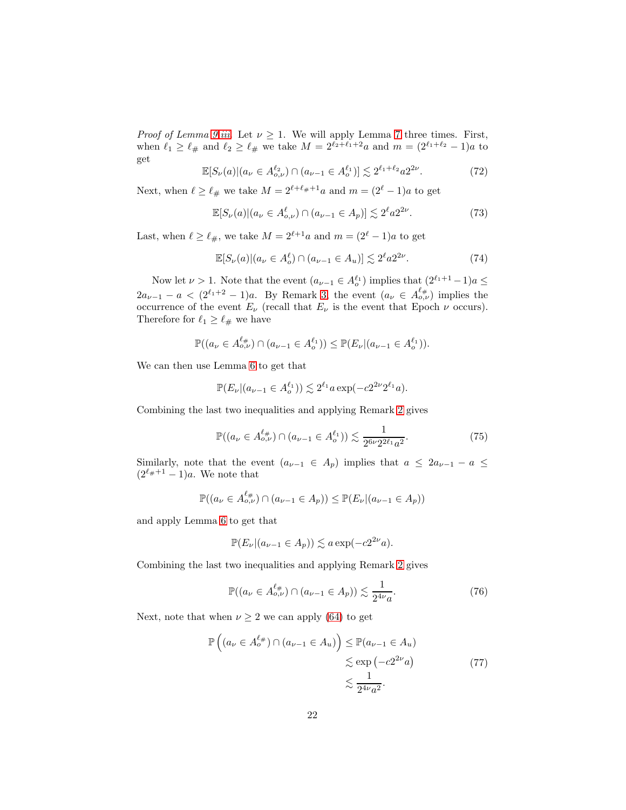*Proof of Lemma [9.](#page-17-3)[iii.](#page-17-7)* Let  $\nu \geq 1$ . We will apply Lemma [7](#page-13-1) three times. First, when  $\ell_1 \geq \ell_{\#}$  and  $\ell_2 \geq \ell_{\#}$  we take  $M = 2^{\ell_2 + \ell_1 + 2}a$  and  $m = (2^{\ell_1 + \ell_2} - 1)a$  to get

<span id="page-21-0"></span>
$$
\mathbb{E}[S_{\nu}(a)|(a_{\nu} \in A_{o,\nu}^{\ell_2}) \cap (a_{\nu-1} \in A_o^{\ell_1})] \lesssim 2^{\ell_1 + \ell_2} a 2^{2\nu}.
$$
 (72)

Next, when  $\ell \geq \ell_\#$  we take  $M = 2^{\ell+\ell_\#+1}a$  and  $m = (2^\ell-1)a$  to get

<span id="page-21-2"></span>
$$
\mathbb{E}[S_{\nu}(a)|(a_{\nu} \in A^{\ell}_{o,\nu}) \cap (a_{\nu-1} \in A_p)] \lesssim 2^{\ell} a 2^{2\nu}.
$$
 (73)

Last, when  $\ell \geq \ell_{\#}$ , we take  $M = 2^{\ell+1}a$  and  $m = (2^{\ell} - 1)a$  to get

<span id="page-21-4"></span>
$$
\mathbb{E}[S_{\nu}(a)|(a_{\nu} \in A_o^{\ell}) \cap (a_{\nu-1} \in A_u)] \lesssim 2^{\ell} a 2^{2\nu}.
$$
 (74)

Now let  $\nu > 1$ . Note that the event  $(a_{\nu-1} \in A_o^{\ell_1})$  implies that  $(2^{\ell_1+1}-1)a \leq$  $2a_{\nu-1} - a \, \leq \, \left(2^{\ell_1+2} - 1\right)a$ . By Remark [3,](#page-10-4) the event  $(a_{\nu} \in A_{o,\nu}^{\ell_{\#}})$  implies the occurrence of the event  $E_{\nu}$  (recall that  $E_{\nu}$  is the event that Epoch  $\nu$  occurs). Therefore for  $\ell_1 \geq \ell_{\#}$  we have

$$
\mathbb{P}((a_{\nu} \in A_{o,\nu}^{\ell_{\#}}) \cap (a_{\nu-1} \in A_{o}^{\ell_{1}})) \leq \mathbb{P}(E_{\nu}|(a_{\nu-1} \in A_{o}^{\ell_{1}})).
$$

We can then use Lemma [6](#page-12-6) to get that

$$
\mathbb{P}(E_{\nu}|(a_{\nu-1} \in A_o^{\ell_1})) \lesssim 2^{\ell_1} a \exp(-c2^{2\nu}2^{\ell_1}a).
$$

Combining the last two inequalities and applying Remark [2](#page-8-2) gives

<span id="page-21-1"></span>
$$
\mathbb{P}((a_{\nu} \in A^{\ell_{\#}}_{o,\nu}) \cap (a_{\nu-1} \in A^{\ell_{1}}_{o})) \lesssim \frac{1}{2^{6\nu}2^{2\ell_{1}}a^{2}}.
$$
\n(75)

Similarly, note that the event  $(a_{\nu-1} \in A_p)$  implies that  $a \leq 2a_{\nu-1} - a \leq$  $(2^{\ell_{\#}+1}-1)a$ . We note that

$$
\mathbb{P}((a_{\nu} \in A_{o,\nu}^{\ell_{\#}}) \cap (a_{\nu-1} \in A_{p})) \leq \mathbb{P}(E_{\nu}|(a_{\nu-1} \in A_{p}))
$$

and apply Lemma [6](#page-12-6) to get that

$$
\mathbb{P}(E_{\nu}|(a_{\nu-1} \in A_p)) \lesssim a \exp(-c2^{2\nu}a).
$$

Combining the last two inequalities and applying Remark [2](#page-8-2) gives

<span id="page-21-3"></span>
$$
\mathbb{P}((a_{\nu} \in A_{o,\nu}^{\ell_{\#}}) \cap (a_{\nu-1} \in A_{p})) \lesssim \frac{1}{2^{4\nu}a}.
$$
 (76)

<span id="page-21-5"></span>Next, note that when  $\nu \geq 2$  we can apply [\(64\)](#page-19-1) to get

$$
\mathbb{P}\left((a_{\nu} \in A_{o}^{\ell_{\#}}) \cap (a_{\nu-1} \in A_{u})\right) \leq \mathbb{P}(a_{\nu-1} \in A_{u})
$$
  
\$\lesssim \exp\left(-c2^{2\nu}a\right)\$  
\$\lesssim \frac{1}{2^{4\nu}a^2}. \tag{77}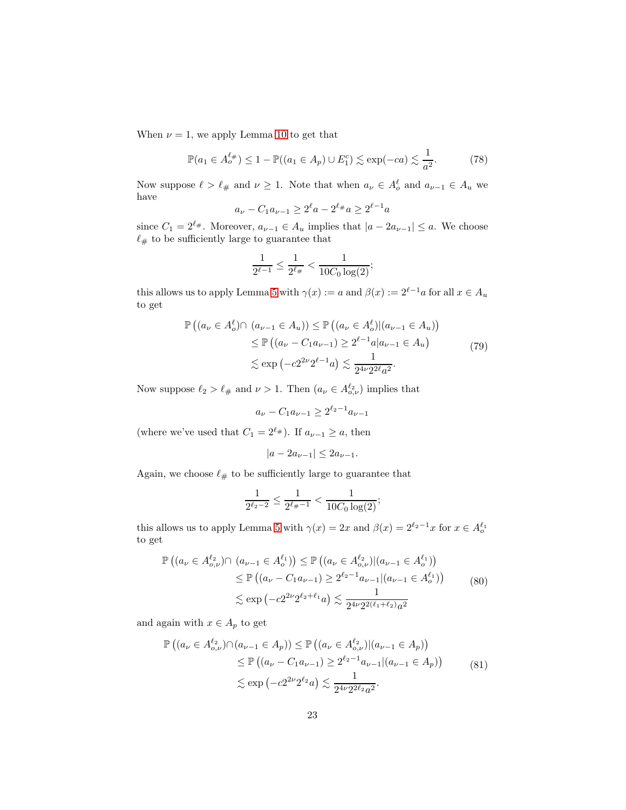When  $\nu = 1$ , we apply Lemma [10](#page-17-1) to get that

<span id="page-22-2"></span>
$$
\mathbb{P}(a_1 \in A^{\ell_{\#}}_{o}) \le 1 - \mathbb{P}((a_1 \in A_p) \cup E_1^c) \lesssim \exp(-ca) \lesssim \frac{1}{a^2}.
$$
 (78)

Now suppose  $\ell > \ell_{\#}$  and  $\nu \geq 1$ . Note that when  $a_{\nu} \in A_o^{\ell}$  and  $a_{\nu-1} \in A_u$  we have

$$
a_{\nu} - C_1 a_{\nu - 1} \ge 2^{\ell} a - 2^{\ell +} a \ge 2^{\ell - 1} a
$$

since  $C_1 = 2^{\ell_{\#}}$ . Moreover,  $a_{\nu-1} \in A_u$  implies that  $|a - 2a_{\nu-1}| \leq a$ . We choose  $\ell_{\#}$  to be sufficiently large to guarantee that

$$
\frac{1}{2^{\ell-1}} \le \frac{1}{2^{\ell_{\#}}} < \frac{1}{10C_0 \log(2)};
$$

this allows us to apply Lemma [5](#page-10-5) with  $\gamma(x) := a$  and  $\beta(x) := 2^{\ell-1}a$  for all  $x \in A_u$ to get

$$
\mathbb{P}\left((a_{\nu} \in A_o^{\ell}) \cap (a_{\nu-1} \in A_u)\right) \leq \mathbb{P}\left((a_{\nu} \in A_o^{\ell}) | (a_{\nu-1} \in A_u)\right) \\
\leq \mathbb{P}\left((a_{\nu} - C_1 a_{\nu-1}) \geq 2^{\ell-1} a | a_{\nu-1} \in A_u\right) \\
\lesssim \exp\left(-c2^{2\nu}2^{\ell-1}a\right) \lesssim \frac{1}{2^{4\nu}2^{2\ell}a^2}.\n\tag{79}
$$

<span id="page-22-3"></span>Now suppose  $\ell_2 > \ell_{\#}$  and  $\nu > 1$ . Then  $(a_{\nu} \in A_{o,\nu}^{\ell_2})$  implies that

$$
a_{\nu} - C_1 a_{\nu - 1} \ge 2^{\ell_2 - 1} a_{\nu - 1}
$$

(where we've used that  $C_1 = 2^{\ell_{\#}}$ ). If  $a_{\nu-1} \ge a$ , then

$$
|a - 2a_{\nu - 1}| \le 2a_{\nu - 1}.
$$

Again, we choose  $\ell_\#$  to be sufficiently large to guarantee that

$$
\frac{1}{2^{\ell_2 - 2}} \le \frac{1}{2^{\ell_{\#} - 1}} < \frac{1}{10C_0 \log(2)};
$$

this allows us to apply Lemma [5](#page-10-5) with  $\gamma(x) = 2x$  and  $\beta(x) = 2^{\ell_2 - 1}x$  for  $x \in A_o^{\ell_1}$ to get

<span id="page-22-0"></span>
$$
\mathbb{P}\left((a_{\nu} \in A_{o,\nu}^{\ell_2}) \cap (a_{\nu-1} \in A_o^{\ell_1})\right) \leq \mathbb{P}\left((a_{\nu} \in A_{o,\nu}^{\ell_2})|(a_{\nu-1} \in A_o^{\ell_1})\right)
$$
  
\n
$$
\leq \mathbb{P}\left((a_{\nu} - C_1 a_{\nu-1}) \geq 2^{\ell_2 - 1} a_{\nu-1}|(a_{\nu-1} \in A_o^{\ell_1})\right)
$$
  
\n
$$
\lesssim \exp\left(-c2^{2\nu}2^{\ell_2 + \ell_1}a\right) \lesssim \frac{1}{2^{4\nu}2^{2(\ell_1 + \ell_2)}a^2}
$$
\n(80)

and again with  $x \in A_p$  to get

<span id="page-22-1"></span>
$$
\mathbb{P}\left((a_{\nu} \in A_{o,\nu}^{\ell_2}) \cap (a_{\nu-1} \in A_p)\right) \leq \mathbb{P}\left((a_{\nu} \in A_{o,\nu}^{\ell_2}) | (a_{\nu-1} \in A_p)\right)
$$
  
\n
$$
\leq \mathbb{P}\left((a_{\nu} - C_1 a_{\nu-1}) \geq 2^{\ell_2 - 1} a_{\nu-1} | (a_{\nu-1} \in A_p)\right)
$$
  
\n
$$
\lesssim \exp\left(-c2^{2\nu} 2^{\ell_2} a\right) \lesssim \frac{1}{2^{4\nu} 2^{2\ell_2} a^2}.
$$
\n(81)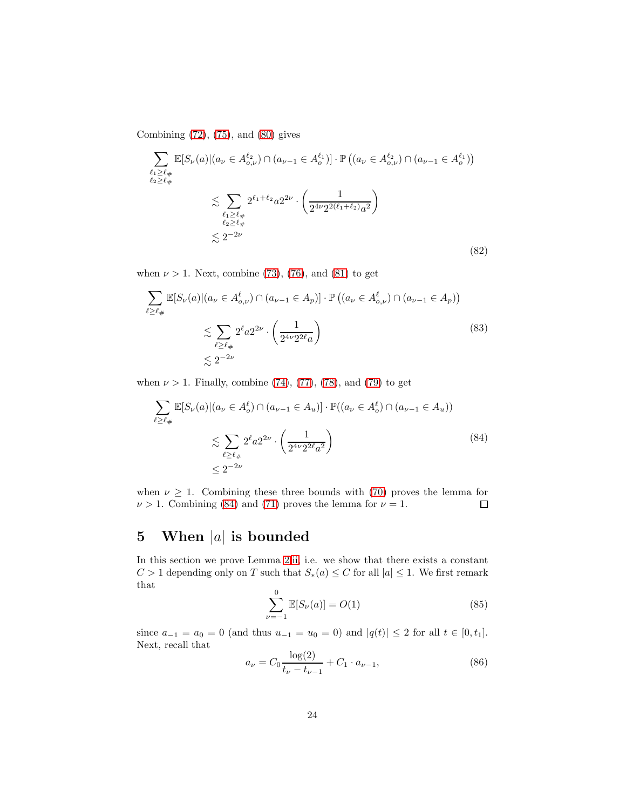Combining [\(72\)](#page-21-0), [\(75\)](#page-21-1), and [\(80\)](#page-22-0) gives

$$
\sum_{\ell_1 \ge \ell_\#} \mathbb{E}[S_{\nu}(a)|(a_{\nu} \in A_{o,\nu}^{\ell_2}) \cap (a_{\nu-1} \in A_o^{\ell_1})] \cdot \mathbb{P}\left((a_{\nu} \in A_{o,\nu}^{\ell_2}) \cap (a_{\nu-1} \in A_o^{\ell_1})\right)
$$
\n
$$
\lesssim \sum_{\ell_1 \ge \ell_\#} 2^{\ell_1 + \ell_2} a 2^{2\nu} \cdot \left(\frac{1}{2^{4\nu} 2^{2(\ell_1 + \ell_2)} a^2}\right)
$$
\n
$$
\lesssim 2^{-2\nu} \lesssim 2^{-2\nu} \tag{82}
$$

when  $\nu > 1$ . Next, combine [\(73\)](#page-21-2), [\(76\)](#page-21-3), and [\(81\)](#page-22-1) to get

$$
\sum_{\ell \ge \ell_{\#}} \mathbb{E}[S_{\nu}(a)|(a_{\nu} \in A^{\ell}_{o,\nu}) \cap (a_{\nu-1} \in A_{p})] \cdot \mathbb{P}\left((a_{\nu} \in A^{\ell}_{o,\nu}) \cap (a_{\nu-1} \in A_{p})\right)
$$
\n
$$
\lesssim \sum_{\ell \ge \ell_{\#}} 2^{\ell} a 2^{2\nu} \cdot \left(\frac{1}{2^{4\nu} 2^{2\ell} a}\right)
$$
\n
$$
\lesssim 2^{-2\nu} \tag{83}
$$

when  $\nu > 1$ . Finally, combine [\(74\)](#page-21-4), [\(77\)](#page-21-5), [\(78\)](#page-22-2), and [\(79\)](#page-22-3) to get

<span id="page-23-0"></span>
$$
\sum_{\ell \ge \ell_{\#}} \mathbb{E}[S_{\nu}(a)|(a_{\nu} \in A_o^{\ell}) \cap (a_{\nu-1} \in A_u)] \cdot \mathbb{P}((a_{\nu} \in A_o^{\ell}) \cap (a_{\nu-1} \in A_u))
$$
\n
$$
\lesssim \sum_{\ell \ge \ell_{\#}} 2^{\ell} a 2^{2\nu} \cdot \left(\frac{1}{2^{4\nu} 2^{2\ell} a^2}\right)
$$
\n
$$
\leq 2^{-2\nu} \tag{84}
$$

when  $\nu \geq 1$ . Combining these three bounds with [\(70\)](#page-20-3) proves the lemma for  $\nu > 1$ . Combining (84) and (71) proves the lemma for  $\nu = 1$ .  $\nu > 1$ . Combining [\(84\)](#page-23-0) and [\(71\)](#page-20-2) proves the lemma for  $\nu = 1$ .

## 5 When  $|a|$  is bounded

In this section we prove Lemma [2](#page-6-2)[.ii,](#page-6-4) i.e. we show that there exists a constant  $C > 1$  depending only on T such that  $S_*(a) \leq C$  for all  $|a| \leq 1$ . We first remark that

<span id="page-23-2"></span>
$$
\sum_{\nu=-1}^{0} \mathbb{E}[S_{\nu}(a)] = O(1)
$$
 (85)

since  $a_{-1} = a_0 = 0$  (and thus  $u_{-1} = u_0 = 0$ ) and  $|q(t)| \leq 2$  for all  $t \in [0, t_1]$ . Next, recall that

<span id="page-23-1"></span>
$$
a_{\nu} = C_0 \frac{\log(2)}{t_{\nu} - t_{\nu - 1}} + C_1 \cdot a_{\nu - 1},\tag{86}
$$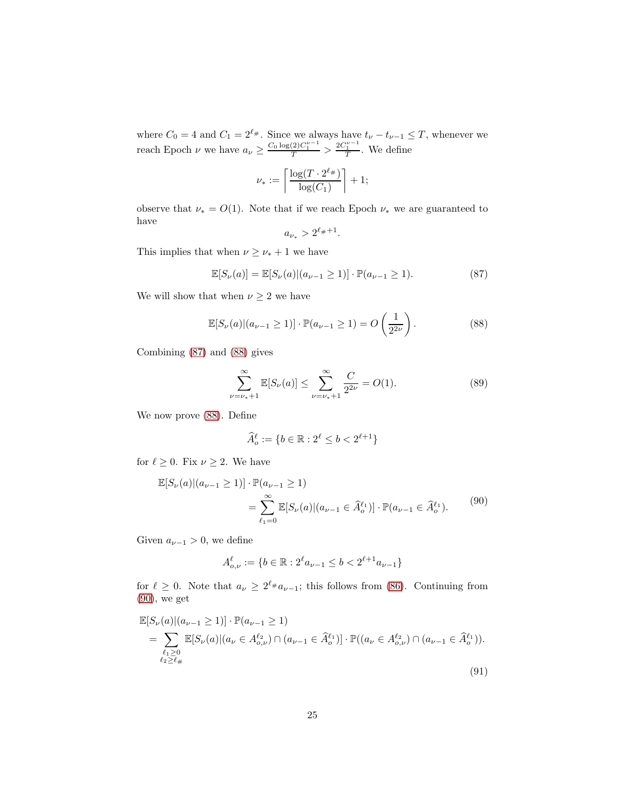where  $C_0 = 4$  and  $C_1 = 2^{\ell_{\#}}$ . Since we always have  $t_{\nu} - t_{\nu-1} \leq T$ , whenever we reach Epoch  $\nu$  we have  $a_{\nu} \geq \frac{C_0 \log(2) C_1^{\nu-1}}{T} > \frac{2C_1^{\nu-1}}{T}$ . We define

$$
\nu_* := \left\lceil \frac{\log(T \cdot 2^{\ell_{\#}})}{\log(C_1)} \right\rceil + 1;
$$

observe that  $\nu_* = O(1)$ . Note that if we reach Epoch  $\nu_*$  we are guaranteed to have

$$
a_{\nu_*} > 2^{\ell_{\#}+1}.
$$

This implies that when  $\nu \geq \nu_* + 1$  we have

<span id="page-24-0"></span>
$$
\mathbb{E}[S_{\nu}(a)] = \mathbb{E}[S_{\nu}(a)|(a_{\nu-1} \ge 1)] \cdot \mathbb{P}(a_{\nu-1} \ge 1).
$$
 (87)

We will show that when  $\nu \geq 2$  we have

<span id="page-24-1"></span>
$$
\mathbb{E}[S_{\nu}(a)|(a_{\nu-1}\geq 1)]\cdot \mathbb{P}(a_{\nu-1}\geq 1) = O\left(\frac{1}{2^{2\nu}}\right).
$$
 (88)

Combining [\(87\)](#page-24-0) and [\(88\)](#page-24-1) gives

<span id="page-24-4"></span>
$$
\sum_{\nu=\nu_{*}+1}^{\infty} \mathbb{E}[S_{\nu}(a)] \leq \sum_{\nu=\nu_{*}+1}^{\infty} \frac{C}{2^{2\nu}} = O(1). \tag{89}
$$

We now prove [\(88\)](#page-24-1). Define

$$
\widehat{A}_o^\ell := \{ b \in \mathbb{R} : 2^\ell \le b < 2^{\ell+1} \}
$$

for  $\ell \geq 0$ . Fix  $\nu \geq 2$ . We have

<span id="page-24-2"></span>
$$
\mathbb{E}[S_{\nu}(a)|(a_{\nu-1} \ge 1)] \cdot \mathbb{P}(a_{\nu-1} \ge 1)
$$
  
= 
$$
\sum_{\ell_1=0}^{\infty} \mathbb{E}[S_{\nu}(a)|(a_{\nu-1} \in \widehat{A}_o^{\ell_1})] \cdot \mathbb{P}(a_{\nu-1} \in \widehat{A}_o^{\ell_1}).
$$
 (90)

Given  $a_{\nu-1} > 0$ , we define

$$
A_{o,\nu}^{\ell} := \{ b \in \mathbb{R} : 2^{\ell} a_{\nu - 1} \le b < 2^{\ell + 1} a_{\nu - 1} \}
$$

for  $\ell \geq 0$ . Note that  $a_{\nu} \geq 2^{\ell_{\#}} a_{\nu-1}$ ; this follows from [\(86\)](#page-23-1). Continuing from [\(90\)](#page-24-2), we get

<span id="page-24-3"></span>
$$
\mathbb{E}[S_{\nu}(a)|(a_{\nu-1} \ge 1)] \cdot \mathbb{P}(a_{\nu-1} \ge 1)
$$
\n
$$
= \sum_{\substack{\ell_1 \ge 0 \\ \ell_2 \ge \ell_{\#}}} \mathbb{E}[S_{\nu}(a)|(a_{\nu} \in A_{o,\nu}^{\ell_2}) \cap (a_{\nu-1} \in \widehat{A}_o^{\ell_1})] \cdot \mathbb{P}((a_{\nu} \in A_{o,\nu}^{\ell_2}) \cap (a_{\nu-1} \in \widehat{A}_o^{\ell_1})).
$$
\n(91)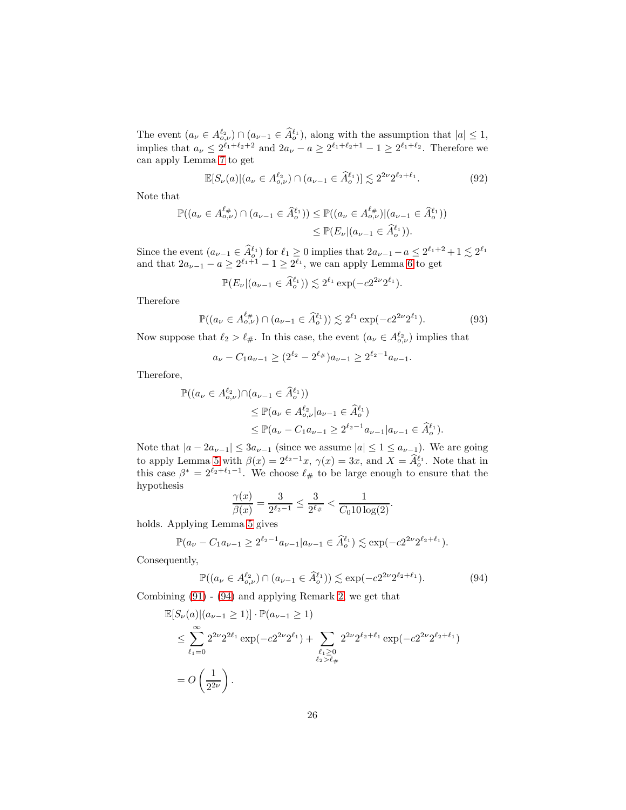The event  $(a_{\nu} \in A_{o,\nu}^{\ell_2}) \cap (a_{\nu-1} \in \hat{A}_{o}^{\ell_1}),$  along with the assumption that  $|a| \leq 1$ , implies that  $a_{\nu} \leq 2^{\ell_1+\ell_2+2}$  and  $2a_{\nu}-a \geq 2^{\ell_1+\ell_2+1}-1 \geq 2^{\ell_1+\ell_2}$ . Therefore we can apply Lemma [7](#page-13-1) to get

$$
\mathbb{E}[S_{\nu}(a)|(a_{\nu} \in A_{o,\nu}^{\ell_2}) \cap (a_{\nu-1} \in \widehat{A}_o^{\ell_1})] \lesssim 2^{2\nu} 2^{\ell_2 + \ell_1}.
$$
 (92)

Note that

$$
\mathbb{P}((a_{\nu} \in A_{o,\nu}^{\ell_{\#}}) \cap (a_{\nu-1} \in \hat{A}_{o}^{\ell_{1}})) \leq \mathbb{P}((a_{\nu} \in A_{o,\nu}^{\ell_{\#}})|(a_{\nu-1} \in \hat{A}_{o}^{\ell_{1}}))
$$
  

$$
\leq \mathbb{P}(E_{\nu}|(a_{\nu-1} \in \hat{A}_{o}^{\ell_{1}})).
$$

Since the event  $(a_{\nu-1} \in \hat{A}_{\rho}^{\ell_1})$  for  $\ell_1 \geq 0$  implies that  $2a_{\nu-1} - a \leq 2^{\ell_1+2} + 1 \leq 2^{\ell_1}$ and that  $2a_{\nu-1} - a \geq 2^{\ell_1+1} - 1 \geq 2^{\ell_1}$ , we can apply Lemma [6](#page-12-6) to get

$$
\mathbb{P}(E_{\nu}|(a_{\nu-1}\in \widehat{A}_o^{\ell_1}))\lesssim 2^{\ell_1}\exp(-c2^{2\nu}2^{\ell_1}).
$$

Therefore

$$
\mathbb{P}((a_{\nu} \in A_{o,\nu}^{\ell_{\#}}) \cap (a_{\nu-1} \in \widehat{A}_o^{\ell_1})) \lesssim 2^{\ell_1} \exp(-c2^{2\nu}2^{\ell_1}). \tag{93}
$$

Now suppose that  $\ell_2 > \ell_{\#}$ . In this case, the event  $(a_{\nu} \in A_{o,\nu}^{\ell_2})$  implies that

$$
a_{\nu} - C_1 a_{\nu - 1} \ge (2^{\ell_2} - 2^{\ell_{\#}}) a_{\nu - 1} \ge 2^{\ell_2 - 1} a_{\nu - 1}.
$$

Therefore,

$$
\mathbb{P}((a_{\nu} \in A_{o,\nu}^{\ell_2}) \cap (a_{\nu-1} \in \widehat{A}_o^{\ell_1}))
$$
  
\n
$$
\leq \mathbb{P}(a_{\nu} \in A_{o,\nu}^{\ell_2} | a_{\nu-1} \in \widehat{A}_o^{\ell_1})
$$
  
\n
$$
\leq \mathbb{P}(a_{\nu} - C_1 a_{\nu-1} \geq 2^{\ell_2 - 1} a_{\nu-1} | a_{\nu-1} \in \widehat{A}_o^{\ell_1}).
$$

Note that  $|a - 2a_{\nu-1}| \leq 3a_{\nu-1}$  (since we assume  $|a| \leq 1 \leq a_{\nu-1}$ ). We are going to apply Lemma [5](#page-10-5) with  $\beta(x) = 2^{\ell_2 - 1}x$ ,  $\gamma(x) = 3x$ , and  $X = \hat{A}_o^{\ell_1}$ . Note that in this case  $\beta^* = 2^{\ell_2 + \ell_1 - 1}$ . We choose  $\ell_{\#}$  to be large enough to ensure that the hypothesis

$$
\frac{\gamma(x)}{\beta(x)} = \frac{3}{2^{\ell_2 - 1}} \le \frac{3}{2^{\ell_{\#}}} < \frac{1}{C_0 10 \log(2)}.
$$

holds. Applying Lemma [5](#page-10-5) gives

$$
\mathbb{P}(a_{\nu} - C_1 a_{\nu-1} \ge 2^{\ell_2 - 1} a_{\nu-1} | a_{\nu-1} \in \widehat{A}_o^{\ell_1}) \lesssim \exp(-c 2^{2\nu} 2^{\ell_2 + \ell_1}).
$$

Consequently,

<span id="page-25-0"></span>
$$
\mathbb{P}((a_{\nu} \in A_{o,\nu}^{\ell_2}) \cap (a_{\nu-1} \in \widehat{A}_o^{\ell_1})) \lesssim \exp(-c2^{2\nu}2^{\ell_2 + \ell_1}).\tag{94}
$$

Combining [\(91\)](#page-24-3) - [\(94\)](#page-25-0) and applying Remark [2,](#page-8-2) we get that

$$
\mathbb{E}[S_{\nu}(a)|(a_{\nu-1} \ge 1)] \cdot \mathbb{P}(a_{\nu-1} \ge 1)
$$
\n
$$
\le \sum_{\ell_1=0}^{\infty} 2^{2\nu} 2^{2\ell_1} \exp(-c2^{2\nu} 2^{\ell_1}) + \sum_{\ell_1 \ge 0 \atop \ell_2 > \ell_{\#}} 2^{2\nu} 2^{\ell_2+\ell_1} \exp(-c2^{2\nu} 2^{\ell_2+\ell_1})
$$
\n
$$
= O\left(\frac{1}{2^{2\nu}}\right).
$$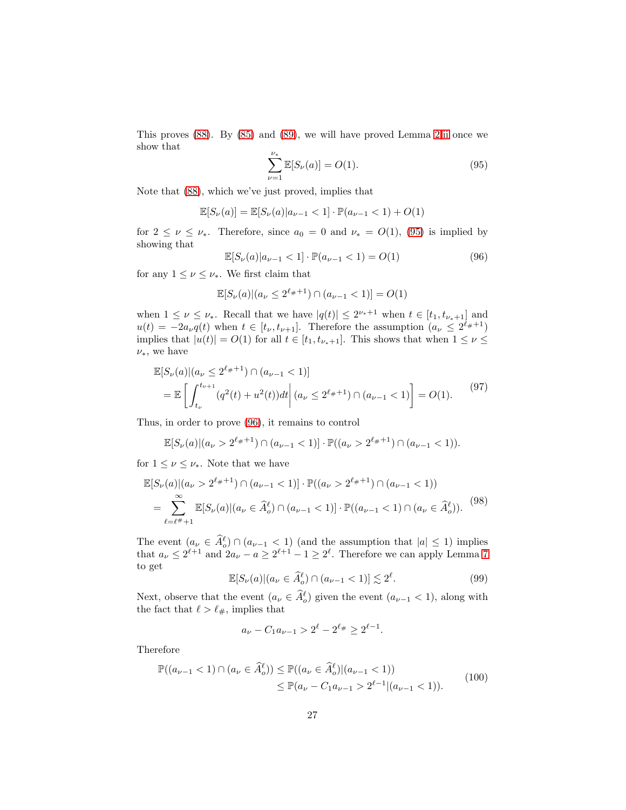This proves [\(88\)](#page-24-1). By [\(85\)](#page-23-2) and [\(89\)](#page-24-4), we will have proved Lemma [2.](#page-6-2)[ii](#page-6-4) once we show that

<span id="page-26-0"></span>
$$
\sum_{\nu=1}^{\nu_*} \mathbb{E}[S_{\nu}(a)] = O(1). \tag{95}
$$

Note that [\(88\)](#page-24-1), which we've just proved, implies that

$$
\mathbb{E}[S_{\nu}(a)] = \mathbb{E}[S_{\nu}(a)|a_{\nu-1} < 1] \cdot \mathbb{P}(a_{\nu-1} < 1) + O(1)
$$

for  $2 \leq \nu \leq \nu_*$ . Therefore, since  $a_0 = 0$  and  $\nu_* = O(1)$ , [\(95\)](#page-26-0) is implied by showing that

<span id="page-26-1"></span>
$$
\mathbb{E}[S_{\nu}(a)|a_{\nu-1} < 1] \cdot \mathbb{P}(a_{\nu-1} < 1) = O(1) \tag{96}
$$

for any  $1 \leq \nu \leq \nu_*$ . We first claim that

$$
\mathbb{E}[S_{\nu}(a)|(a_{\nu}\leq 2^{\ell_{\#}+1})\cap (a_{\nu-1}<1)]=O(1)
$$

when  $1 \leq \nu \leq \nu_*$ . Recall that we have  $|q(t)| \leq 2^{\nu_*+1}$  when  $t \in [t_1, t_{\nu_*+1}]$  and  $u(t) = -2a_{\nu}q(t)$  when  $t \in [t_{\nu}, t_{\nu+1}]$ . Therefore the assumption  $(a_{\nu} \leq 2^{\ell_{\#}+1})$ implies that  $|u(t)| = O(1)$  for all  $t \in [t_1, t_{\nu_*+1}]$ . This shows that when  $1 \leq \nu \leq$  $\nu_*,$  we have

$$
\mathbb{E}[S_{\nu}(a)|(a_{\nu} \le 2^{\ell_{\#}+1}) \cap (a_{\nu-1} < 1)]
$$
  
= 
$$
\mathbb{E}\left[\int_{t_{\nu}}^{t_{\nu+1}} (q^2(t) + u^2(t))dt \middle| (a_{\nu} \le 2^{\ell_{\#}+1}) \cap (a_{\nu-1} < 1) \right] = O(1).
$$
 (97)

Thus, in order to prove [\(96\)](#page-26-1), it remains to control

$$
\mathbb{E}[S_{\nu}(a)|(a_{\nu} > 2^{\ell_{\#}+1}) \cap (a_{\nu-1} < 1)] \cdot \mathbb{P}((a_{\nu} > 2^{\ell_{\#}+1}) \cap (a_{\nu-1} < 1)).
$$

for  $1 \leq \nu \leq \nu_*$ . Note that we have

<span id="page-26-2"></span>
$$
\mathbb{E}[S_{\nu}(a)|(a_{\nu} > 2^{\ell_{\#}+1}) \cap (a_{\nu-1} < 1)] \cdot \mathbb{P}((a_{\nu} > 2^{\ell_{\#}+1}) \cap (a_{\nu-1} < 1))
$$
  
= 
$$
\sum_{\ell=\ell^{\#}+1}^{\infty} \mathbb{E}[S_{\nu}(a)|(a_{\nu} \in \widehat{A}_{o}^{\ell}) \cap (a_{\nu-1} < 1)] \cdot \mathbb{P}((a_{\nu-1} < 1) \cap (a_{\nu} \in \widehat{A}_{o}^{\ell})).
$$
<sup>(98)</sup>

The event  $(a_{\nu} \in \hat{A}_{o}^{\ell}) \cap (a_{\nu-1} < 1)$  (and the assumption that  $|a| \leq 1$ ) implies that  $a_{\nu} \leq 2^{\ell+1}$  and  $2a_{\nu} - a \geq 2^{\ell+1} - 1 \geq 2^{\ell}$ . Therefore we can apply Lemma [7](#page-13-1) to get

$$
\mathbb{E}[S_{\nu}(a)|(a_{\nu} \in \widehat{A}^{\ell}_{o}) \cap (a_{\nu-1} < 1)] \lesssim 2^{\ell}.\tag{99}
$$

Next, observe that the event  $(a_{\nu} \in \hat{A}_{o}^{\ell})$  given the event  $(a_{\nu-1} < 1)$ , along with the fact that  $\ell > \ell_{\#}$ , implies that

$$
a_{\nu} - C_1 a_{\nu - 1} > 2^{\ell} - 2^{\ell_{\#}} \ge 2^{\ell - 1}.
$$

Therefore

$$
\mathbb{P}((a_{\nu-1} < 1) \cap (a_{\nu} \in \widehat{A}_{o}^{\ell})) \leq \mathbb{P}((a_{\nu} \in \widehat{A}_{o}^{\ell}) | (a_{\nu-1} < 1)) \\
\leq \mathbb{P}(a_{\nu} - C_1 a_{\nu-1} > 2^{\ell-1} | (a_{\nu-1} < 1)).\n\tag{100}
$$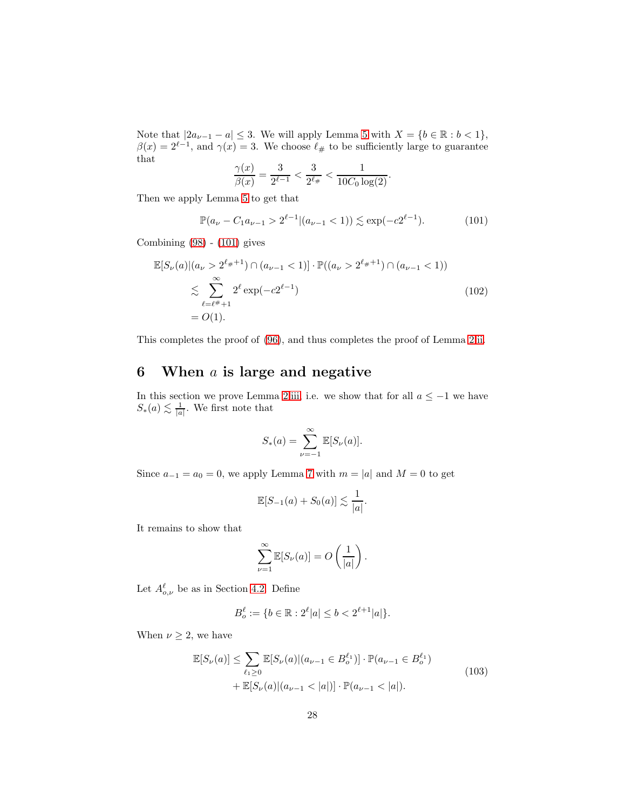Note that  $|2a_{\nu-1} - a| \leq 3$ . We will apply Lemma [5](#page-10-5) with  $X = \{b \in \mathbb{R} : b < 1\},\$  $\beta(x) = 2^{\ell-1}$ , and  $\gamma(x) = 3$ . We choose  $\ell_{\#}$  to be sufficiently large to guarantee that

$$
\frac{\gamma(x)}{\beta(x)} = \frac{3}{2^{\ell-1}} < \frac{3}{2^{\ell}} < \frac{1}{10C_0 \log(2)}.
$$

Then we apply Lemma [5](#page-10-5) to get that

<span id="page-27-1"></span>
$$
\mathbb{P}(a_{\nu} - C_1 a_{\nu - 1} > 2^{\ell - 1} | (a_{\nu - 1} < 1)) \lesssim \exp(-c2^{\ell - 1}).\tag{101}
$$

Combining [\(98\)](#page-26-2) - [\(101\)](#page-27-1) gives

$$
\mathbb{E}[S_{\nu}(a)|(a_{\nu} > 2^{\ell_{\#}+1}) \cap (a_{\nu-1} < 1)] \cdot \mathbb{P}((a_{\nu} > 2^{\ell_{\#}+1}) \cap (a_{\nu-1} < 1))
$$
  
\n
$$
\lesssim \sum_{\ell=\ell^{\#}+1}^{\infty} 2^{\ell} \exp(-c2^{\ell-1})
$$
  
\n
$$
= O(1).
$$
\n(102)

This completes the proof of [\(96\)](#page-26-1), and thus completes the proof of Lemma [2.](#page-6-2)[ii.](#page-6-4)

## <span id="page-27-0"></span>6 When  $a$  is large and negative

In this section we prove Lemma [2.](#page-6-2)[iii,](#page-6-5) i.e. we show that for all  $a \le -1$  we have  $S_*(a) \lesssim \frac{1}{|a|}$ . We first note that

$$
S_*(a) = \sum_{\nu=-1}^{\infty} \mathbb{E}[S_{\nu}(a)].
$$

Since  $a_{-1} = a_0 = 0$ , we apply Lemma [7](#page-13-1) with  $m = |a|$  and  $M = 0$  to get

$$
\mathbb{E}[S_{-1}(a) + S_0(a)] \lesssim \frac{1}{|a|}.
$$

It remains to show that

$$
\sum_{\nu=1}^{\infty} \mathbb{E}[S_{\nu}(a)] = O\left(\frac{1}{|a|}\right).
$$

Let  $A^{\ell}_{o,\nu}$  be as in Section [4.2.](#page-20-0) Define

$$
B_o^{\ell} := \{ b \in \mathbb{R} : 2^{\ell} |a| \le b < 2^{\ell+1} |a| \}.
$$

<span id="page-27-2"></span>When  $\nu \geq 2$ , we have

$$
\mathbb{E}[S_{\nu}(a)] \le \sum_{\ell_1 \ge 0} \mathbb{E}[S_{\nu}(a)|(a_{\nu-1} \in B_o^{\ell_1})] \cdot \mathbb{P}(a_{\nu-1} \in B_o^{\ell_1}) \n+ \mathbb{E}[S_{\nu}(a)|(a_{\nu-1} < |a|)] \cdot \mathbb{P}(a_{\nu-1} < |a|).
$$
\n(103)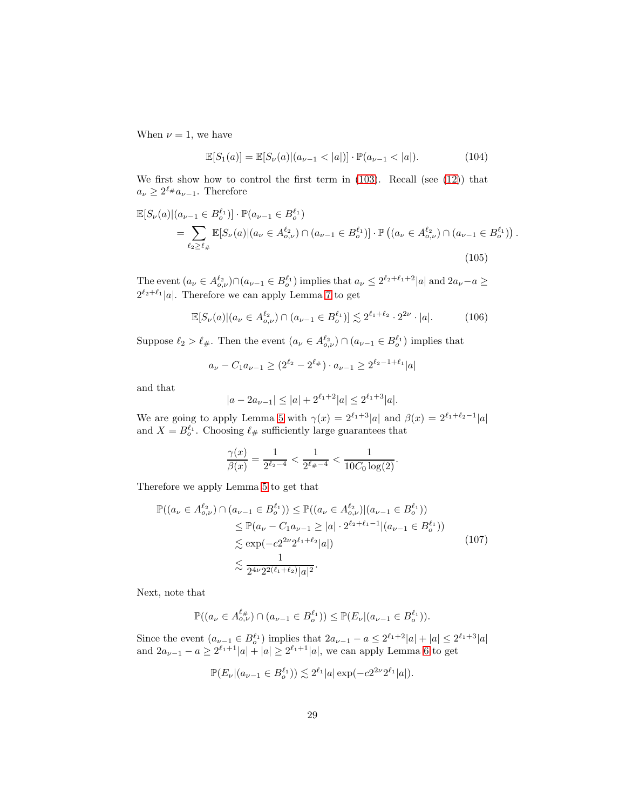When  $\nu = 1$ , we have

<span id="page-28-1"></span>
$$
\mathbb{E}[S_1(a)] = \mathbb{E}[S_{\nu}(a)|(a_{\nu-1} < |a|)] \cdot \mathbb{P}(a_{\nu-1} < |a|). \tag{104}
$$

.

We first show how to control the first term in  $(103)$ . Recall (see  $(12)$ ) that  $a_{\nu} \geq 2^{\ell_{\#}} a_{\nu-1}$ . Therefore

<span id="page-28-0"></span>
$$
\mathbb{E}[S_{\nu}(a)|(a_{\nu-1} \in B_o^{\ell_1})] \cdot \mathbb{P}(a_{\nu-1} \in B_o^{\ell_1})
$$
\n
$$
= \sum_{\ell_2 \ge \ell_{\#}} \mathbb{E}[S_{\nu}(a)|(a_{\nu} \in A_{o,\nu}^{\ell_2}) \cap (a_{\nu-1} \in B_o^{\ell_1})] \cdot \mathbb{P}\left((a_{\nu} \in A_{o,\nu}^{\ell_2}) \cap (a_{\nu-1} \in B_o^{\ell_1})\right)
$$
\n(105)

The event  $(a_\nu \in A_{o,\nu}^{\ell_2}) \cap (a_{\nu-1} \in B_o^{\ell_1})$  implies that  $a_\nu \leq 2^{\ell_2+\ell_1+2} |a|$  and  $2a_\nu - a \geq$  $2^{\ell_2+\ell_1}|a|$ . Therefore we can apply Lemma [7](#page-13-1) to get

$$
\mathbb{E}[S_{\nu}(a)|(a_{\nu} \in A_{o,\nu}^{\ell_2}) \cap (a_{\nu-1} \in B_o^{\ell_1})] \lesssim 2^{\ell_1 + \ell_2} \cdot 2^{2\nu} \cdot |a|. \tag{106}
$$

Suppose  $\ell_2 > \ell_{\#}$ . Then the event  $(a_{\nu} \in A_{o,\nu}^{\ell_2}) \cap (a_{\nu-1} \in B_o^{\ell_1})$  implies that

$$
a_{\nu} - C_1 a_{\nu - 1} \ge (2^{\ell_2} - 2^{\ell_{\#}}) \cdot a_{\nu - 1} \ge 2^{\ell_2 - 1 + \ell_1} |a|
$$

and that

$$
|a - 2a_{\nu - 1}| \le |a| + 2^{\ell_1 + 2}|a| \le 2^{\ell_1 + 3}|a|.
$$

We are going to apply Lemma [5](#page-10-5) with  $\gamma(x) = 2^{\ell_1+3}|a|$  and  $\beta(x) = 2^{\ell_1+\ell_2-1}|a|$ and  $X = B_o^{\ell_1}$ . Choosing  $\ell_{\#}$  sufficiently large guarantees that

$$
\frac{\gamma(x)}{\beta(x)} = \frac{1}{2^{\ell_2 - 4}} < \frac{1}{2^{\ell_2 - 4}} < \frac{1}{10C_0 \log(2)}.
$$

Therefore we apply Lemma [5](#page-10-5) to get that

$$
\mathbb{P}((a_{\nu} \in A_{o,\nu}^{\ell_2}) \cap (a_{\nu-1} \in B_o^{\ell_1})) \leq \mathbb{P}((a_{\nu} \in A_{o,\nu}^{\ell_2})|(a_{\nu-1} \in B_o^{\ell_1}))
$$
  
\n
$$
\leq \mathbb{P}(a_{\nu} - C_1 a_{\nu-1} \geq |a| \cdot 2^{\ell_2 + \ell_1 - 1} | (a_{\nu-1} \in B_o^{\ell_1}))
$$
  
\n
$$
\lesssim \exp(-c2^{2\nu} 2^{\ell_1 + \ell_2} |a|)
$$
  
\n
$$
\lesssim \frac{1}{2^{4\nu} 2^{2(\ell_1 + \ell_2)} |a|^2}.
$$
\n(107)

Next, note that

$$
\mathbb{P}((a_{\nu} \in A^{\ell_{\#}}_{o,\nu}) \cap (a_{\nu-1} \in B^{\ell_{1}}_{o})) \leq \mathbb{P}(E_{\nu}|(a_{\nu-1} \in B^{\ell_{1}}_{o})).
$$

Since the event  $(a_{\nu-1} \in B_o^{\ell_1})$  implies that  $2a_{\nu-1} - a \leq 2^{\ell_1+2}|a| + |a| \leq 2^{\ell_1+3}|a|$ and  $2a_{\nu-1} - a \ge 2^{\ell_1+1}|a| + |a| \ge 2^{\ell_1+1}|a|$ , we can apply Lemma [6](#page-12-6) to get

$$
\mathbb{P}(E_{\nu}|(a_{\nu-1} \in B_o^{\ell_1})) \lesssim 2^{\ell_1}|a| \exp(-c2^{2\nu}2^{\ell_1}|a|).
$$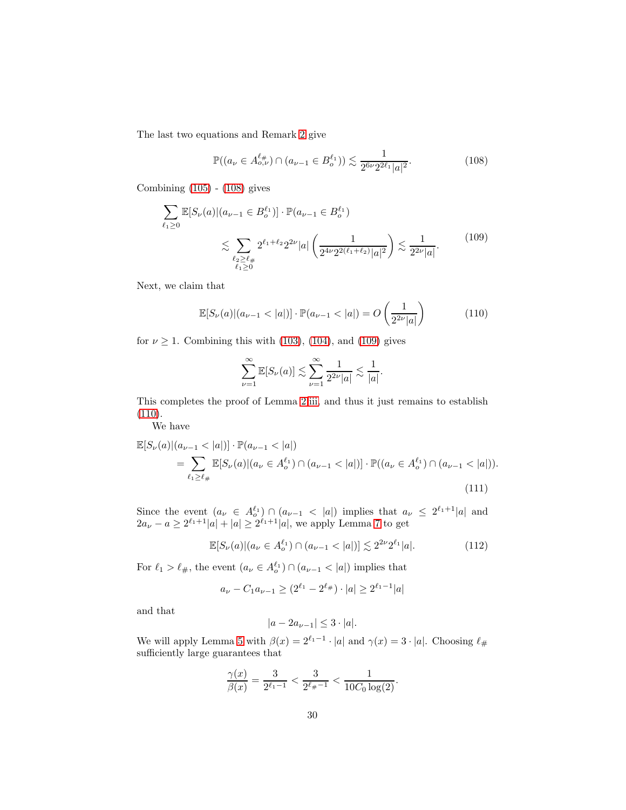The last two equations and Remark [2](#page-8-2) give

<span id="page-29-0"></span>
$$
\mathbb{P}((a_{\nu} \in A_{o,\nu}^{\ell_{\#}}) \cap (a_{\nu-1} \in B_o^{\ell_1})) \lesssim \frac{1}{2^{6\nu} 2^{2\ell_1} |a|^2}.
$$
 (108)

Combining [\(105\)](#page-28-0) - [\(108\)](#page-29-0) gives

<span id="page-29-1"></span>
$$
\sum_{\ell_1 \ge 0} \mathbb{E}[S_{\nu}(a)|(a_{\nu-1} \in B_o^{\ell_1})] \cdot \mathbb{P}(a_{\nu-1} \in B_o^{\ell_1})
$$
\n
$$
\lesssim \sum_{\substack{\ell_2 \ge \ell_\#\\ \ell_1 \ge 0}} 2^{\ell_1 + \ell_2} 2^{2\nu} |a| \left(\frac{1}{2^{4\nu} 2^{2(\ell_1 + \ell_2)} |a|^2}\right) \lesssim \frac{1}{2^{2\nu} |a|}. \tag{109}
$$

Next, we claim that

<span id="page-29-2"></span>
$$
\mathbb{E}[S_{\nu}(a)|(a_{\nu-1} < |a|)] \cdot \mathbb{P}(a_{\nu-1} < |a|) = O\left(\frac{1}{2^{2\nu}|a|}\right) \tag{110}
$$

for  $\nu \geq 1$ . Combining this with [\(103\)](#page-27-2), [\(104\)](#page-28-1), and [\(109\)](#page-29-1) gives

$$
\sum_{\nu=1}^{\infty} \mathbb{E}[S_{\nu}(a)] \lesssim \sum_{\nu=1}^{\infty} \frac{1}{2^{2\nu}|a|} \lesssim \frac{1}{|a|}.
$$

This completes the proof of Lemma [2.](#page-6-2)[iii,](#page-6-5) and thus it just remains to establish [\(110\)](#page-29-2).

We have

<span id="page-29-3"></span>
$$
\mathbb{E}[S_{\nu}(a)|(a_{\nu-1} < |a|)] \cdot \mathbb{P}(a_{\nu-1} < |a|)
$$
\n
$$
= \sum_{\ell_1 \ge \ell_\#} \mathbb{E}[S_{\nu}(a)|(a_{\nu} \in A_o^{\ell_1}) \cap (a_{\nu-1} < |a|)] \cdot \mathbb{P}((a_{\nu} \in A_o^{\ell_1}) \cap (a_{\nu-1} < |a|)).
$$
\n(111)

Since the event  $(a_{\nu} \in A_o^{\ell_1}) \cap (a_{\nu-1} < |a|)$  implies that  $a_{\nu} \leq 2^{\ell_1+1} |a|$  and  $2a_{\nu} - a \geq 2^{\ell_1+1} |a| + |a| \geq 2^{\ell_1+1} |a|$ , we apply Lemma [7](#page-13-1) to get

$$
\mathbb{E}[S_{\nu}(a)|(a_{\nu} \in A_o^{\ell_1}) \cap (a_{\nu-1} < |a|)] \lesssim 2^{2\nu} 2^{\ell_1} |a|.
$$
 (112)

For  $\ell_1 > \ell_{\#}$ , the event  $(a_{\nu} \in A_o^{\ell_1}) \cap (a_{\nu-1} < |a|)$  implies that

$$
a_{\nu} - C_1 a_{\nu - 1} \ge (2^{\ell_1} - 2^{\ell_{\#}}) \cdot |a| \ge 2^{\ell_1 - 1} |a|
$$

and that

$$
|a - 2a_{\nu - 1}| \leq 3 \cdot |a|.
$$

We will apply Lemma [5](#page-10-5) with  $\beta(x) = 2^{\ell_1 - 1} \cdot |a|$  and  $\gamma(x) = 3 \cdot |a|$ . Choosing  $\ell_{\#}$ sufficiently large guarantees that

$$
\frac{\gamma(x)}{\beta(x)} = \frac{3}{2^{\ell_1 - 1}} < \frac{3}{2^{\ell_{\#}-1}} < \frac{1}{10C_0 \log(2)}.
$$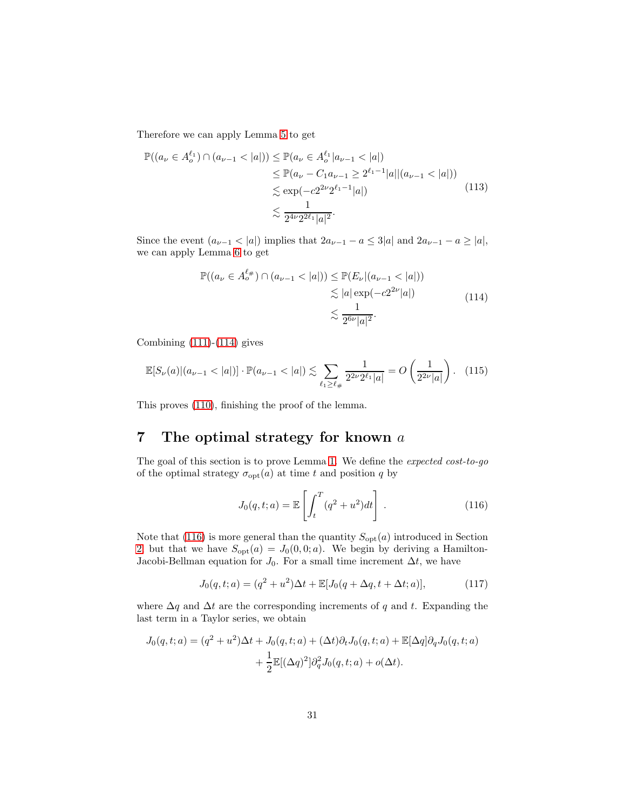Therefore we can apply Lemma [5](#page-10-5) to get

$$
\mathbb{P}((a_{\nu} \in A_{o}^{\ell_{1}}) \cap (a_{\nu-1} < |a|)) \leq \mathbb{P}(a_{\nu} \in A_{o}^{\ell_{1}} | a_{\nu-1} < |a|)
$$
\n
$$
\leq \mathbb{P}(a_{\nu} - C_{1} a_{\nu-1} \geq 2^{\ell_{1}-1} |a| | (a_{\nu-1} < |a|))
$$
\n
$$
\lesssim \exp(-c2^{2\nu} 2^{\ell_{1}-1} |a|)
$$
\n
$$
\lesssim \frac{1}{2^{4\nu} 2^{2\ell_{1}} |a|^{2}}.
$$
\n(113)

Since the event  $(a_{\nu-1} < |a|)$  implies that  $2a_{\nu-1} - a \leq 3|a|$  and  $2a_{\nu-1} - a \geq |a|$ , we can apply Lemma [6](#page-12-6) to get

$$
\mathbb{P}((a_{\nu} \in A_{o}^{\ell_{\#}}) \cap (a_{\nu-1} < |a|)) \leq \mathbb{P}(E_{\nu}|(a_{\nu-1} < |a|)) \\
\lesssim |a| \exp(-c2^{2\nu}|a|) \\
\lesssim \frac{1}{2^{6\nu}|a|^2}.\n\tag{114}
$$

<span id="page-30-1"></span>Combining  $(111)-(114)$  $(111)-(114)$  gives

$$
\mathbb{E}[S_{\nu}(a)|(a_{\nu-1} < |a|)] \cdot \mathbb{P}(a_{\nu-1} < |a|) \lesssim \sum_{\ell_1 \ge \ell_\#} \frac{1}{2^{2\nu} 2^{\ell_1} |a|} = O\left(\frac{1}{2^{2\nu} |a|}\right). \tag{115}
$$

This proves [\(110\)](#page-29-2), finishing the proof of the lemma.

# <span id="page-30-0"></span>7 The optimal strategy for known  $a$

The goal of this section is to prove Lemma [1.](#page-6-1) We define the *expected cost-to-go* of the optimal strategy  $\sigma_{\text{opt}}(a)$  at time t and position q by

<span id="page-30-2"></span>
$$
J_0(q, t; a) = \mathbb{E}\left[\int_t^T (q^2 + u^2) dt\right].
$$
 (116)

Note that [\(116\)](#page-30-2) is more general than the quantity  $S_{opt}(a)$  introduced in Section [2,](#page-6-6) but that we have  $S_{\text{opt}}(a) = J_0(0, 0; a)$ . We begin by deriving a Hamilton-Jacobi-Bellman equation for  $J_0$ . For a small time increment  $\Delta t$ , we have

$$
J_0(q, t; a) = (q^2 + u^2)\Delta t + \mathbb{E}[J_0(q + \Delta q, t + \Delta t; a)],
$$
\n(117)

where  $\Delta q$  and  $\Delta t$  are the corresponding increments of q and t. Expanding the last term in a Taylor series, we obtain

$$
J_0(q,t;a) = (q^2 + u^2)\Delta t + J_0(q,t;a) + (\Delta t)\partial_t J_0(q,t;a) + \mathbb{E}[\Delta q]\partial_q J_0(q,t;a)
$$

$$
+ \frac{1}{2}\mathbb{E}[(\Delta q)^2]\partial_q^2 J_0(q,t;a) + o(\Delta t).
$$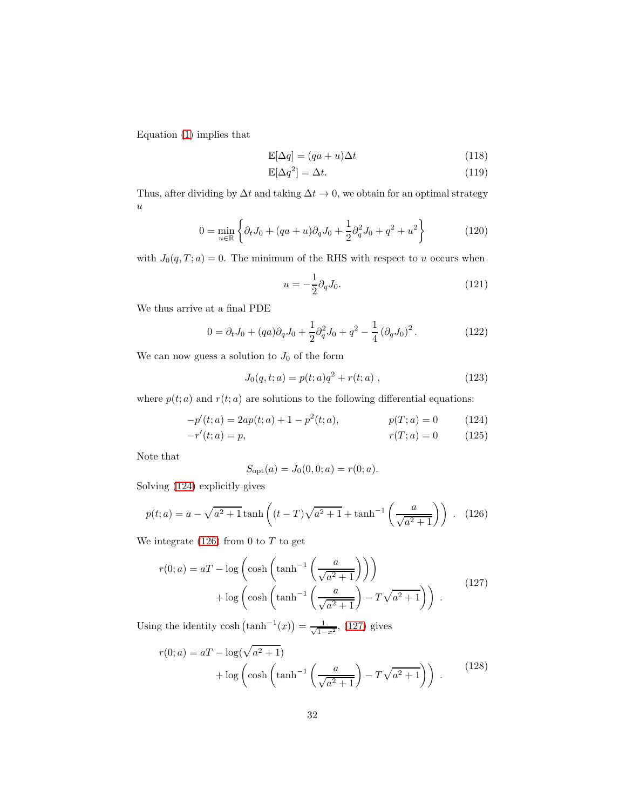Equation [\(1\)](#page-2-0) implies that

$$
\mathbb{E}[\Delta q] = (qa+u)\Delta t \tag{118}
$$

$$
\mathbb{E}[\Delta q^2] = \Delta t. \tag{119}
$$

Thus, after dividing by  $\Delta t$  and taking  $\Delta t \to 0$ , we obtain for an optimal strategy  $\boldsymbol{u}$ 

$$
0 = \min_{u \in \mathbb{R}} \left\{ \partial_t J_0 + (qa + u)\partial_q J_0 + \frac{1}{2} \partial_q^2 J_0 + q^2 + u^2 \right\}
$$
(120)

with  $J_0(q, T; a) = 0$ . The minimum of the RHS with respect to u occurs when

$$
u = -\frac{1}{2}\partial_q J_0. \tag{121}
$$

We thus arrive at a final PDE

$$
0 = \partial_t J_0 + (qa)\partial_q J_0 + \frac{1}{2}\partial_q^2 J_0 + q^2 - \frac{1}{4}(\partial_q J_0)^2.
$$
 (122)

We can now guess a solution to  $J_0$  of the form

$$
J_0(q, t; a) = p(t; a)q^2 + r(t; a) , \qquad (123)
$$

where  $p(t; a)$  and  $r(t; a)$  are solutions to the following differential equations:

$$
-p'(t; a) = 2ap(t; a) + 1 - p^{2}(t; a), \qquad p(T; a) = 0 \qquad (124)
$$

$$
-r'(t; a) = p,\t\t r(T; a) = 0\t(125)
$$

Note that

<span id="page-31-3"></span><span id="page-31-2"></span><span id="page-31-0"></span>
$$
S_{\rm opt}(a) = J_0(0, 0; a) = r(0; a).
$$

Solving [\(124\)](#page-31-0) explicitly gives

<span id="page-31-1"></span>
$$
p(t; a) = a - \sqrt{a^2 + 1} \tanh\left((t - T)\sqrt{a^2 + 1} + \tanh^{-1}\left(\frac{a}{\sqrt{a^2 + 1}}\right)\right).
$$
 (126)

We integrate  $(126)$  from 0 to  $T$  to get

$$
r(0; a) = aT - \log\left(\cosh\left(\tanh^{-1}\left(\frac{a}{\sqrt{a^2 + 1}}\right)\right)\right) + \log\left(\cosh\left(\tanh^{-1}\left(\frac{a}{\sqrt{a^2 + 1}}\right) - T\sqrt{a^2 + 1}\right)\right).
$$
 (127)

Using the identity  $\cosh\left(\tanh^{-1}(x)\right) = \frac{1}{\sqrt{1-x^2}}$ , [\(127\)](#page-31-2) gives

$$
r(0; a) = aT - \log(\sqrt{a^2 + 1}) + \log\left(\cosh\left(\tanh^{-1}\left(\frac{a}{\sqrt{a^2 + 1}}\right) - T\sqrt{a^2 + 1}\right)\right).
$$
 (128)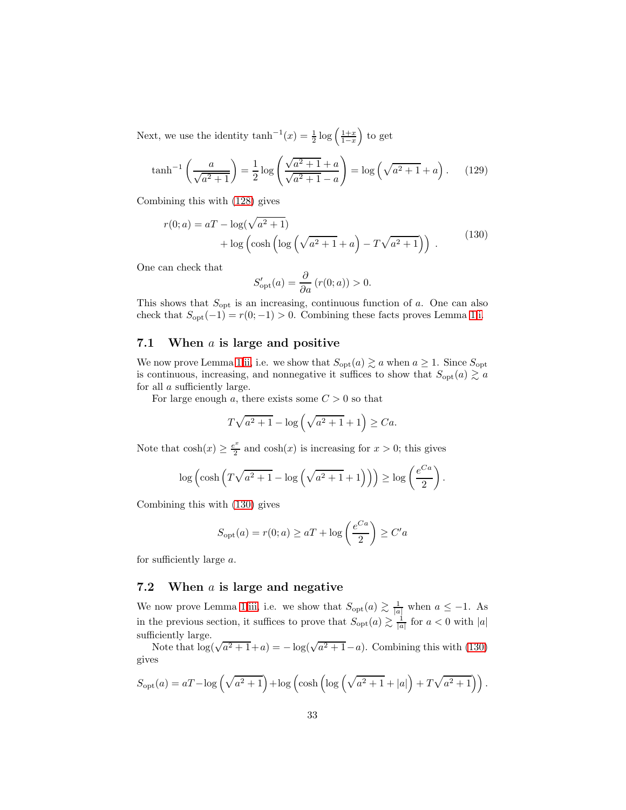Next, we use the identity  $\tanh^{-1}(x) = \frac{1}{2} \log \left( \frac{1+x}{1-x} \right)$ to get

$$
\tanh^{-1}\left(\frac{a}{\sqrt{a^2+1}}\right) = \frac{1}{2}\log\left(\frac{\sqrt{a^2+1}+a}{\sqrt{a^2+1}-a}\right) = \log\left(\sqrt{a^2+1}+a\right). \tag{129}
$$

Combining this with [\(128\)](#page-31-3) gives

<span id="page-32-0"></span>
$$
r(0; a) = aT - \log(\sqrt{a^2 + 1}) + \log(\cosh(\log(\sqrt{a^2 + 1} + a)) - T\sqrt{a^2 + 1}))
$$
 (130)

One can check that

$$
S'_{\text{opt}}(a) = \frac{\partial}{\partial a} (r(0; a)) > 0.
$$

This shows that  $S_{\text{opt}}$  is an increasing, continuous function of a. One can also check that  $S_{\text{opt}}(-1) = r(0; -1) > 0$ . Combining these facts proves Lemma [1](#page-6-1)[.i.](#page-6-7)

#### 7.1 When  $a$  is large and positive

We now prove Lemma [1](#page-6-1)[.ii,](#page-6-8) i.e. we show that  $S_{\text{opt}}(a) \gtrsim a$  when  $a \geq 1$ . Since  $S_{\text{opt}}$ is continuous, increasing, and nonnegative it suffices to show that  $S_{opt}(a) \gtrsim a$ for all a sufficiently large.

For large enough a, there exists some  $C > 0$  so that

$$
T\sqrt{a^2+1} - \log\left(\sqrt{a^2+1}+1\right) \ge Ca.
$$

Note that  $\cosh(x) \geq \frac{e^x}{2}$  $\frac{e^x}{2}$  and  $\cosh(x)$  is increasing for  $x > 0$ ; this gives

$$
\log\left(\cosh\left(T\sqrt{a^2+1}-\log\left(\sqrt{a^2+1}+1\right)\right)\right) \ge \log\left(\frac{e^{Ca}}{2}\right).
$$

Combining this with [\(130\)](#page-32-0) gives

$$
S_{\text{opt}}(a) = r(0; a) \ge aT + \log\left(\frac{e^{Ca}}{2}\right) \ge C'a
$$

for sufficiently large a.

#### 7.2 When  $a$  is large and negative

We now prove Lemma [1](#page-6-1)[.iii,](#page-6-9) i.e. we show that  $S_{\text{opt}}(a) \gtrsim \frac{1}{|a|}$  when  $a \leq -1$ . As in the previous section, it suffices to prove that  $S_{\text{opt}}(a) \gtrsim \frac{1}{|a|}$  for  $a < 0$  with  $|a|$ sufficiently large.

Note that  $\log(\sqrt{a^2+1}+a) = -\log(\sqrt{a^2+1}-a)$ . Combining this with [\(130\)](#page-32-0) gives

$$
S_{\text{opt}}(a) = aT - \log\left(\sqrt{a^2 + 1}\right) + \log\left(\cosh\left(\log\left(\sqrt{a^2 + 1} + |a|\right) + T\sqrt{a^2 + 1}\right)\right).
$$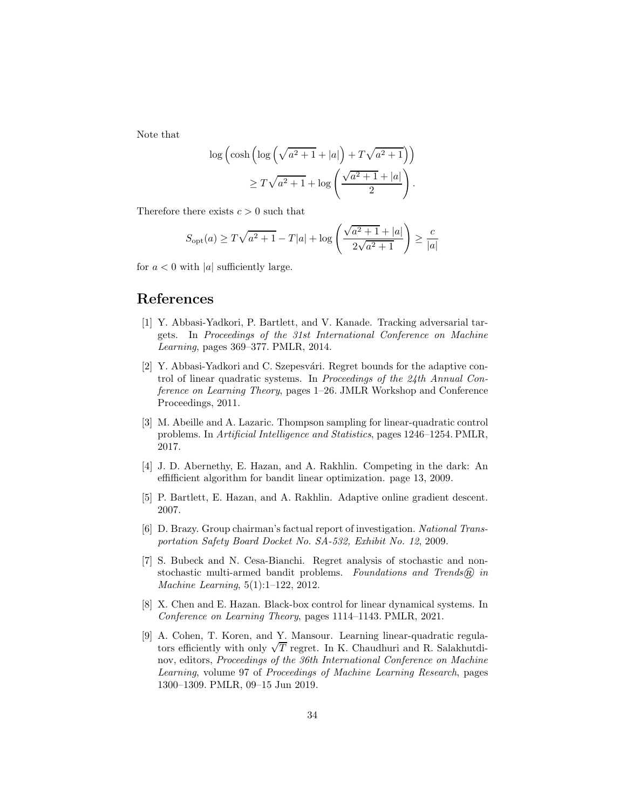Note that

$$
\log\left(\cosh\left(\log\left(\sqrt{a^2+1}+|a|\right)+T\sqrt{a^2+1}\right)\right) \geq T\sqrt{a^2+1}+\log\left(\frac{\sqrt{a^2+1}+|a|}{2}\right).
$$

Therefore there exists  $c > 0$  such that

$$
S_{\text{opt}}(a) \ge T\sqrt{a^2 + 1} - T|a| + \log\left(\frac{\sqrt{a^2 + 1} + |a|}{2\sqrt{a^2 + 1}}\right) \ge \frac{c}{|a|}
$$

for  $a < 0$  with |a| sufficiently large.

## <span id="page-33-3"></span>References

- [1] Y. Abbasi-Yadkori, P. Bartlett, and V. Kanade. Tracking adversarial targets. In *Proceedings of the 31st International Conference on Machine Learning*, pages 369–377. PMLR, 2014.
- <span id="page-33-5"></span>[2] Y. Abbasi-Yadkori and C. Szepesvári. Regret bounds for the adaptive control of linear quadratic systems. In *Proceedings of the 24th Annual Conference on Learning Theory*, pages 1–26. JMLR Workshop and Conference Proceedings, 2011.
- <span id="page-33-2"></span>[3] M. Abeille and A. Lazaric. Thompson sampling for linear-quadratic control problems. In *Artificial Intelligence and Statistics*, pages 1246–1254. PMLR, 2017.
- <span id="page-33-8"></span>[4] J. D. Abernethy, E. Hazan, and A. Rakhlin. Competing in the dark: An effifficient algorithm for bandit linear optimization. page 13, 2009.
- <span id="page-33-4"></span><span id="page-33-0"></span>[5] P. Bartlett, E. Hazan, and A. Rakhlin. Adaptive online gradient descent. 2007.
- [6] D. Brazy. Group chairman's factual report of investigation. *National Transportation Safety Board Docket No. SA-532, Exhibit No. 12*, 2009.
- <span id="page-33-7"></span>[7] S. Bubeck and N. Cesa-Bianchi. Regret analysis of stochastic and nonstochastic multi-armed bandit problems. Foundations and Trends<sup>®</sup> in *Machine Learning*, 5(1):1–122, 2012.
- <span id="page-33-6"></span>[8] X. Chen and E. Hazan. Black-box control for linear dynamical systems. In *Conference on Learning Theory*, pages 1114–1143. PMLR, 2021.
- <span id="page-33-1"></span>[9] A. Cohen, T. Koren, and Y. Mansour. Learning linear-quadratic regulators efficiently with only  $\sqrt{T}$  regret. In K. Chaudhuri and R. Salakhutdinov, editors, *Proceedings of the 36th International Conference on Machine Learning*, volume 97 of *Proceedings of Machine Learning Research*, pages 1300–1309. PMLR, 09–15 Jun 2019.